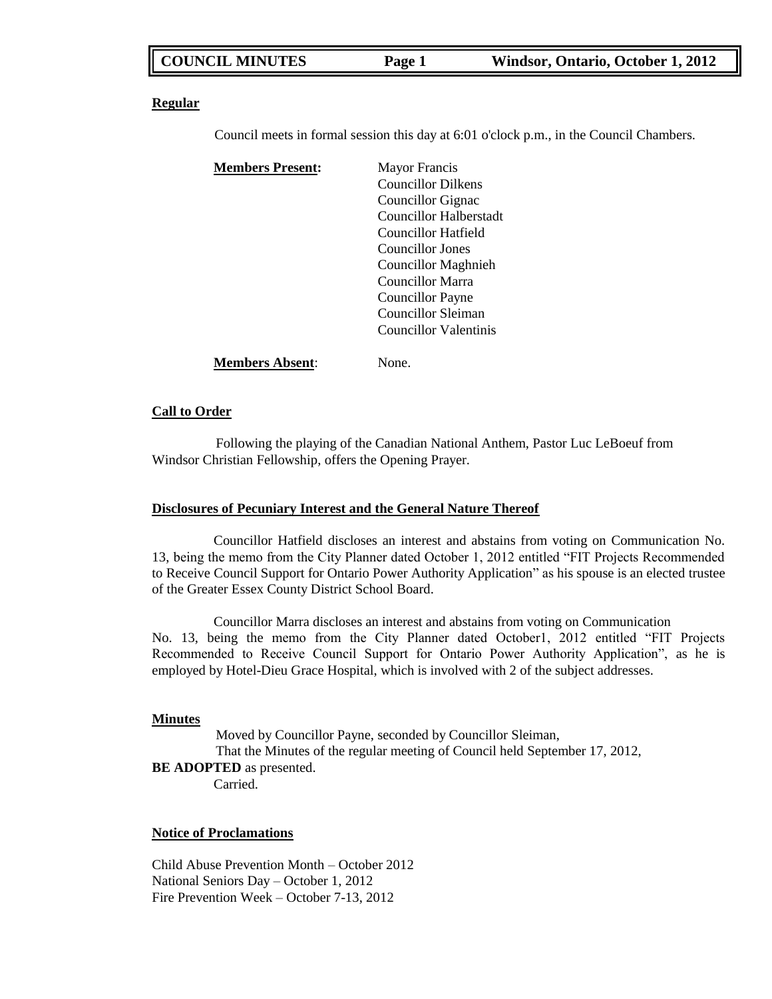### **Regular**

Council meets in formal session this day at 6:01 o'clock p.m., in the Council Chambers.

| <b>Members Present:</b> | <b>Mayor Francis</b>       |
|-------------------------|----------------------------|
|                         | <b>Councillor Dilkens</b>  |
|                         | Councillor Gignac          |
|                         | Councillor Halberstadt     |
|                         | Councillor Hatfield        |
|                         | Councillor Jones           |
|                         | <b>Councillor Maghnieh</b> |
|                         | Councillor Marra           |
|                         | <b>Councillor Payne</b>    |
|                         | Councillor Sleiman         |
|                         | Councillor Valentinis      |
| <b>Members Absent:</b>  | None.                      |

### **Call to Order**

Following the playing of the Canadian National Anthem, Pastor Luc LeBoeuf from Windsor Christian Fellowship, offers the Opening Prayer.

### **Disclosures of Pecuniary Interest and the General Nature Thereof**

Councillor Hatfield discloses an interest and abstains from voting on Communication No. 13, being the memo from the City Planner dated October 1, 2012 entitled "FIT Projects Recommended to Receive Council Support for Ontario Power Authority Application" as his spouse is an elected trustee of the Greater Essex County District School Board.

Councillor Marra discloses an interest and abstains from voting on Communication No. 13, being the memo from the City Planner dated October1, 2012 entitled "FIT Projects Recommended to Receive Council Support for Ontario Power Authority Application", as he is employed by Hotel-Dieu Grace Hospital, which is involved with 2 of the subject addresses.

### **Minutes**

Moved by Councillor Payne, seconded by Councillor Sleiman, That the Minutes of the regular meeting of Council held September 17, 2012, **BE ADOPTED** as presented. Carried.

### **Notice of Proclamations**

Child Abuse Prevention Month – October 2012 National Seniors Day – October 1, 2012 Fire Prevention Week – October 7-13, 2012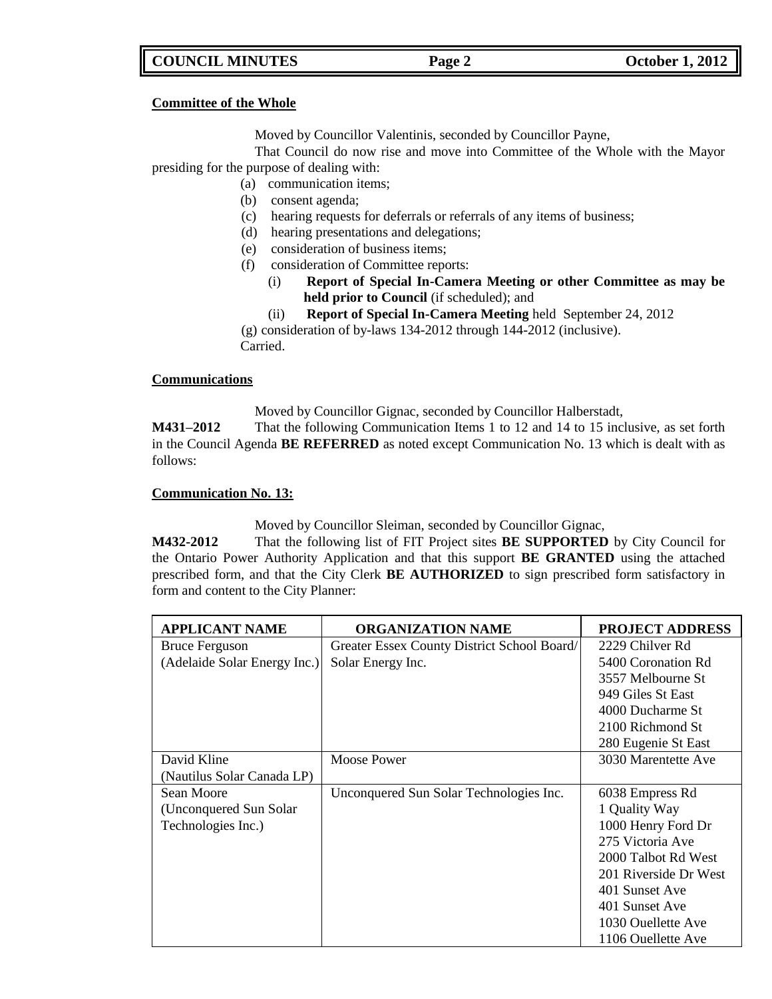### **Committee of the Whole**

Moved by Councillor Valentinis, seconded by Councillor Payne,

That Council do now rise and move into Committee of the Whole with the Mayor presiding for the purpose of dealing with:

- (a) communication items;
- (b) consent agenda;
- (c) hearing requests for deferrals or referrals of any items of business;
- (d) hearing presentations and delegations;
- (e) consideration of business items;
- (f) consideration of Committee reports:
	- (i) **Report of Special In-Camera Meeting or other Committee as may be held prior to Council** (if scheduled); and
	- (ii) **Report of Special In-Camera Meeting** held September 24, 2012

(g) consideration of by-laws 134-2012 through 144-2012 (inclusive). Carried.

### **Communications**

Moved by Councillor Gignac, seconded by Councillor Halberstadt,

**M431–2012** That the following Communication Items 1 to 12 and 14 to 15 inclusive, as set forth in the Council Agenda **BE REFERRED** as noted except Communication No. 13 which is dealt with as follows:

### **Communication No. 13:**

Moved by Councillor Sleiman, seconded by Councillor Gignac,

**M432-2012** That the following list of FIT Project sites **BE SUPPORTED** by City Council for the Ontario Power Authority Application and that this support **BE GRANTED** using the attached prescribed form, and that the City Clerk **BE AUTHORIZED** to sign prescribed form satisfactory in form and content to the City Planner:

| <b>APPLICANT NAME</b>        | <b>ORGANIZATION NAME</b>                    | <b>PROJECT ADDRESS</b> |
|------------------------------|---------------------------------------------|------------------------|
| <b>Bruce Ferguson</b>        | Greater Essex County District School Board/ | 2229 Chilver Rd        |
| (Adelaide Solar Energy Inc.) | Solar Energy Inc.                           | 5400 Coronation Rd     |
|                              |                                             | 3557 Melbourne St      |
|                              |                                             | 949 Giles St East      |
|                              |                                             | 4000 Ducharme St       |
|                              |                                             | 2100 Richmond St       |
|                              |                                             | 280 Eugenie St East    |
| David Kline                  | <b>Moose Power</b>                          | 3030 Marentette Ave    |
| (Nautilus Solar Canada LP)   |                                             |                        |
| Sean Moore                   | Unconquered Sun Solar Technologies Inc.     | 6038 Empress Rd        |
| (Unconquered Sun Solar)      |                                             | 1 Quality Way          |
| Technologies Inc.)           |                                             | 1000 Henry Ford Dr     |
|                              |                                             | 275 Victoria Ave       |
|                              |                                             | 2000 Talbot Rd West    |
|                              |                                             | 201 Riverside Dr West  |
|                              |                                             | 401 Sunset Ave         |
|                              |                                             | 401 Sunset Ave         |
|                              |                                             | 1030 Ouellette Ave     |
|                              |                                             | 1106 Ouellette Ave     |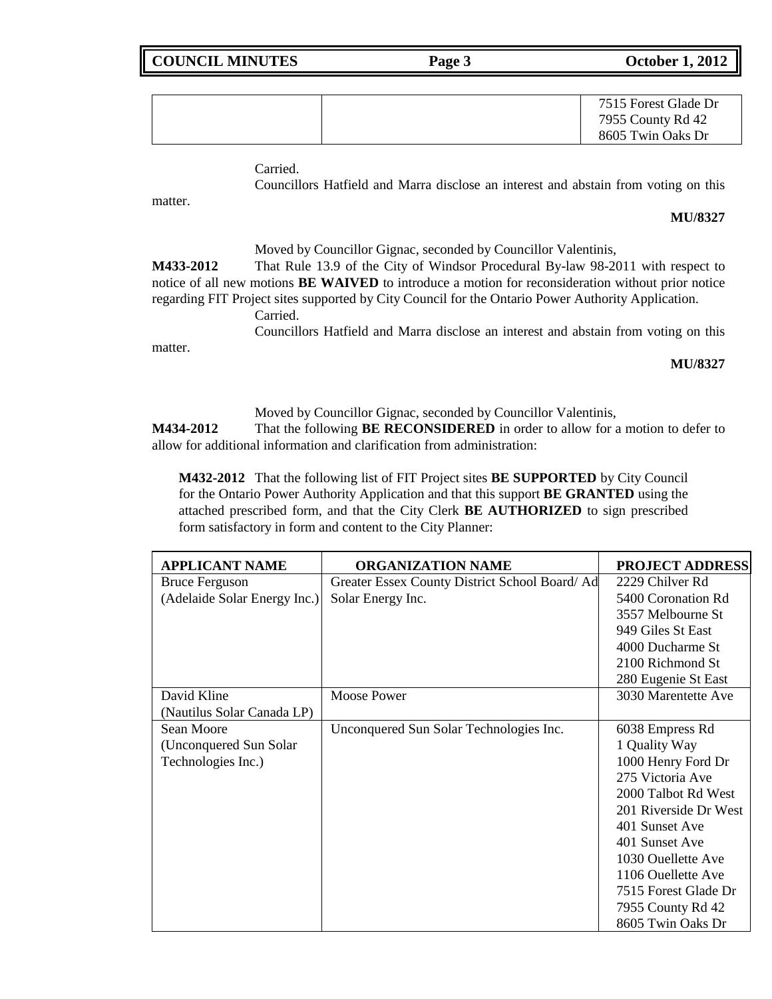| 7515 Forest Glade Dr |
|----------------------|
| 7955 County Rd 42    |
| 8605 Twin Oaks Dr    |

Carried.

Councillors Hatfield and Marra disclose an interest and abstain from voting on this

matter.

### **MU/8327**

Moved by Councillor Gignac, seconded by Councillor Valentinis, **M433-2012** That Rule 13.9 of the City of Windsor Procedural By-law 98-2011 with respect to notice of all new motions **BE WAIVED** to introduce a motion for reconsideration without prior notice regarding FIT Project sites supported by City Council for the Ontario Power Authority Application. Carried. Councillors Hatfield and Marra disclose an interest and abstain from voting on this matter.

### **MU/8327**

Moved by Councillor Gignac, seconded by Councillor Valentinis, **M434-2012** That the following **BE RECONSIDERED** in order to allow for a motion to defer to

allow for additional information and clarification from administration:

**M432-2012** That the following list of FIT Project sites **BE SUPPORTED** by City Council for the Ontario Power Authority Application and that this support **BE GRANTED** using the attached prescribed form, and that the City Clerk **BE AUTHORIZED** to sign prescribed form satisfactory in form and content to the City Planner:

| <b>APPLICANT NAME</b>        | <b>ORGANIZATION NAME</b>                       | <b>PROJECT ADDRESS</b> |
|------------------------------|------------------------------------------------|------------------------|
| <b>Bruce Ferguson</b>        | Greater Essex County District School Board/ Ad | 2229 Chilver Rd        |
| (Adelaide Solar Energy Inc.) | Solar Energy Inc.                              | 5400 Coronation Rd     |
|                              |                                                | 3557 Melbourne St      |
|                              |                                                | 949 Giles St East      |
|                              |                                                | 4000 Ducharme St       |
|                              |                                                | 2100 Richmond St       |
|                              |                                                | 280 Eugenie St East    |
| David Kline                  | <b>Moose Power</b>                             | 3030 Marentette Ave    |
| (Nautilus Solar Canada LP)   |                                                |                        |
| Sean Moore                   | Unconquered Sun Solar Technologies Inc.        | 6038 Empress Rd        |
| (Unconquered Sun Solar)      |                                                | 1 Quality Way          |
| Technologies Inc.)           |                                                | 1000 Henry Ford Dr     |
|                              |                                                | 275 Victoria Ave       |
|                              |                                                | 2000 Talbot Rd West    |
|                              |                                                | 201 Riverside Dr West  |
|                              |                                                | 401 Sunset Ave         |
|                              |                                                | 401 Sunset Ave         |
|                              |                                                | 1030 Ouellette Ave     |
|                              |                                                | 1106 Ouellette Ave     |
|                              |                                                | 7515 Forest Glade Dr   |
|                              |                                                | 7955 County Rd 42      |
|                              |                                                | 8605 Twin Oaks Dr      |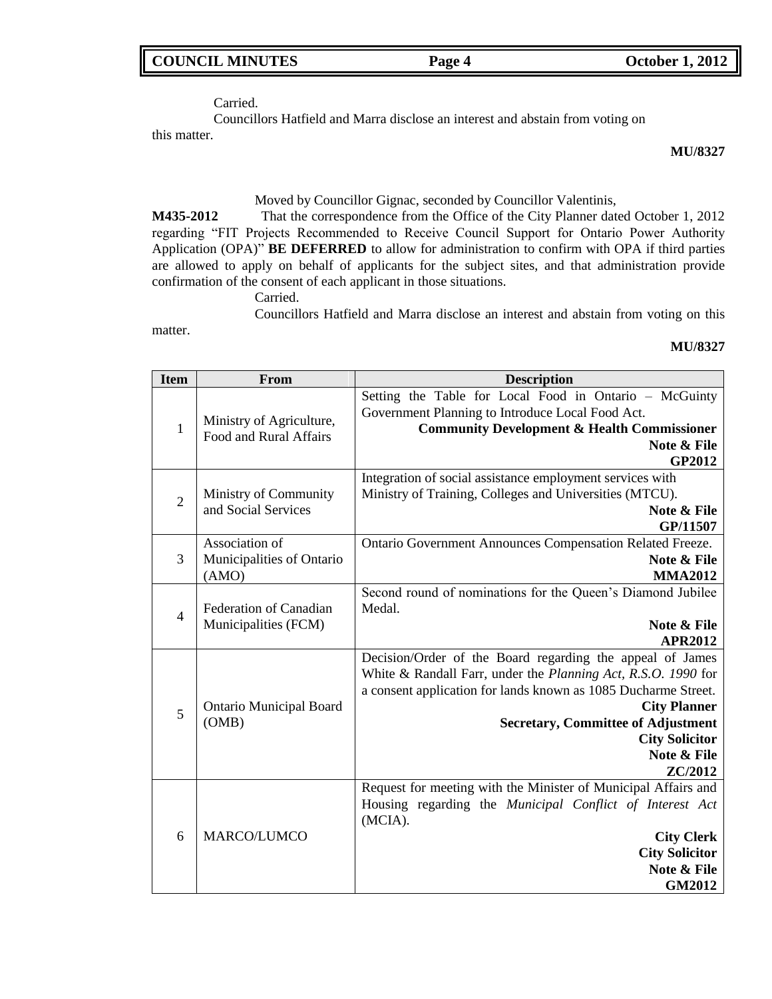|  |  |  | <b>COUNCIL MINUTES</b> |  |
|--|--|--|------------------------|--|
|--|--|--|------------------------|--|

**COUNCIL MINUTES Page 4 October 1, 2012** 

Carried.

Councillors Hatfield and Marra disclose an interest and abstain from voting on this matter.

**MU/8327**

### Moved by Councillor Gignac, seconded by Councillor Valentinis,

**M435-2012** That the correspondence from the Office of the City Planner dated October 1, 2012 regarding "FIT Projects Recommended to Receive Council Support for Ontario Power Authority Application (OPA)" **BE DEFERRED** to allow for administration to confirm with OPA if third parties are allowed to apply on behalf of applicants for the subject sites, and that administration provide confirmation of the consent of each applicant in those situations.

Carried.

Councillors Hatfield and Marra disclose an interest and abstain from voting on this

matter.

### **MU/8327**

| <b>Item</b>    | From                                                 | <b>Description</b>                                                                                                                                                                                                                                                                                                  |
|----------------|------------------------------------------------------|---------------------------------------------------------------------------------------------------------------------------------------------------------------------------------------------------------------------------------------------------------------------------------------------------------------------|
| $\mathbf{1}$   | Ministry of Agriculture,<br>Food and Rural Affairs   | Setting the Table for Local Food in Ontario - McGuinty<br>Government Planning to Introduce Local Food Act.<br><b>Community Development &amp; Health Commissioner</b><br>Note & File<br>GP2012                                                                                                                       |
| $\overline{2}$ | Ministry of Community<br>and Social Services         | Integration of social assistance employment services with<br>Ministry of Training, Colleges and Universities (MTCU).<br>Note & File<br>GP/11507                                                                                                                                                                     |
| 3              | Association of<br>Municipalities of Ontario<br>(AMO) | Ontario Government Announces Compensation Related Freeze.<br>Note & File<br><b>MMA2012</b>                                                                                                                                                                                                                          |
| $\overline{4}$ | Federation of Canadian<br>Municipalities (FCM)       | Second round of nominations for the Queen's Diamond Jubilee<br>Medal.<br>Note & File<br><b>APR2012</b>                                                                                                                                                                                                              |
| 5              | <b>Ontario Municipal Board</b><br>(OMB)              | Decision/Order of the Board regarding the appeal of James<br>White & Randall Farr, under the Planning Act, R.S.O. 1990 for<br>a consent application for lands known as 1085 Ducharme Street.<br><b>City Planner</b><br><b>Secretary, Committee of Adjustment</b><br><b>City Solicitor</b><br>Note & File<br>ZC/2012 |
| 6              | <b>MARCO/LUMCO</b>                                   | Request for meeting with the Minister of Municipal Affairs and<br>Housing regarding the Municipal Conflict of Interest Act<br>(MCIA).<br><b>City Clerk</b><br><b>City Solicitor</b><br>Note & File<br>GM2012                                                                                                        |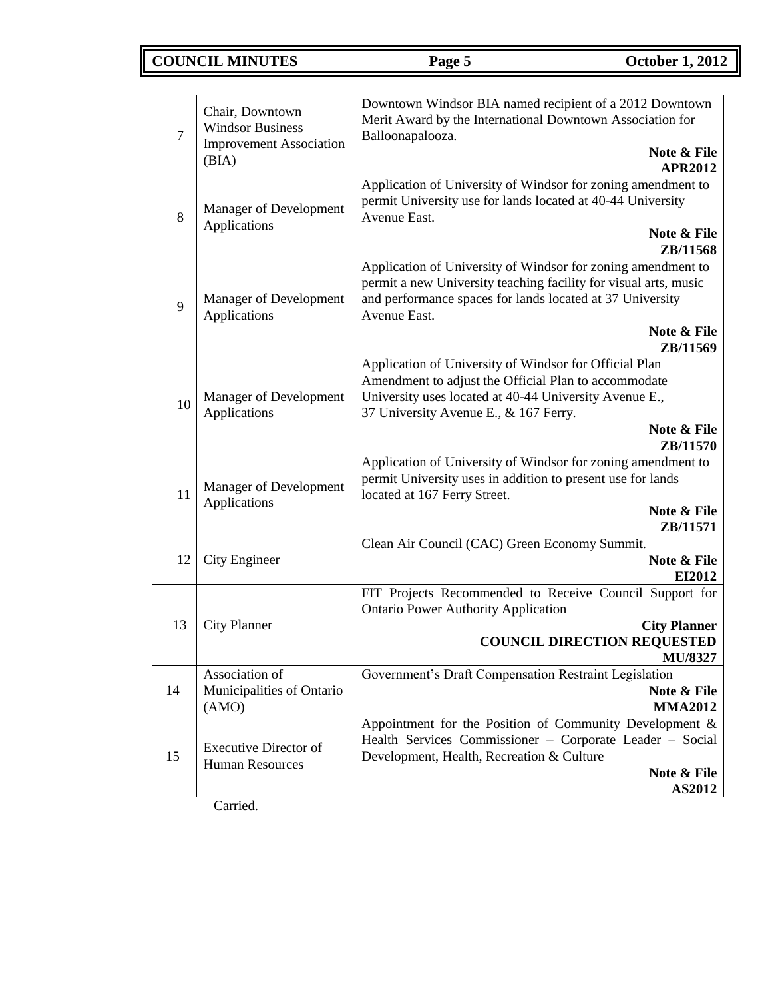# **COUNCIL MINUTES Page 5 October 1, 2012**

| $\overline{7}$ | Chair, Downtown<br><b>Windsor Business</b><br><b>Improvement Association</b><br>(BIA) | Downtown Windsor BIA named recipient of a 2012 Downtown<br>Merit Award by the International Downtown Association for<br>Balloonapalooza.<br>Note & File<br>APR2012                                                                                   |  |
|----------------|---------------------------------------------------------------------------------------|------------------------------------------------------------------------------------------------------------------------------------------------------------------------------------------------------------------------------------------------------|--|
| 8              | Manager of Development<br>Applications                                                | Application of University of Windsor for zoning amendment to<br>permit University use for lands located at 40-44 University<br>Avenue East.<br>Note & File                                                                                           |  |
| 9              | Manager of Development<br>Applications                                                | ZB/11568<br>Application of University of Windsor for zoning amendment to<br>permit a new University teaching facility for visual arts, music<br>and performance spaces for lands located at 37 University<br>Avenue East.<br>Note & File<br>ZB/11569 |  |
| 10             | Manager of Development<br>Applications                                                | Application of University of Windsor for Official Plan<br>Amendment to adjust the Official Plan to accommodate<br>University uses located at 40-44 University Avenue E.,<br>37 University Avenue E., & 167 Ferry.<br>Note & File<br>ZB/11570         |  |
| 11             | Manager of Development<br>Applications                                                | Application of University of Windsor for zoning amendment to<br>permit University uses in addition to present use for lands<br>located at 167 Ferry Street.<br>Note & File<br>ZB/11571                                                               |  |
| 12             | City Engineer                                                                         | Clean Air Council (CAC) Green Economy Summit.<br>Note & File<br>EI2012                                                                                                                                                                               |  |
| 13             | <b>City Planner</b>                                                                   | FIT Projects Recommended to Receive Council Support for<br><b>Ontario Power Authority Application</b><br><b>City Planner</b><br><b>COUNCIL DIRECTION REQUESTED</b><br><b>MU/8327</b>                                                                 |  |
| 14             | Association of<br>Municipalities of Ontario<br>(AMO)                                  | Government's Draft Compensation Restraint Legislation<br>Note & File<br><b>MMA2012</b>                                                                                                                                                               |  |
| 15             | <b>Executive Director of</b><br><b>Human Resources</b>                                | Appointment for the Position of Community Development &<br>Health Services Commissioner - Corporate Leader - Social<br>Development, Health, Recreation & Culture<br>Note & File<br>AS2012                                                            |  |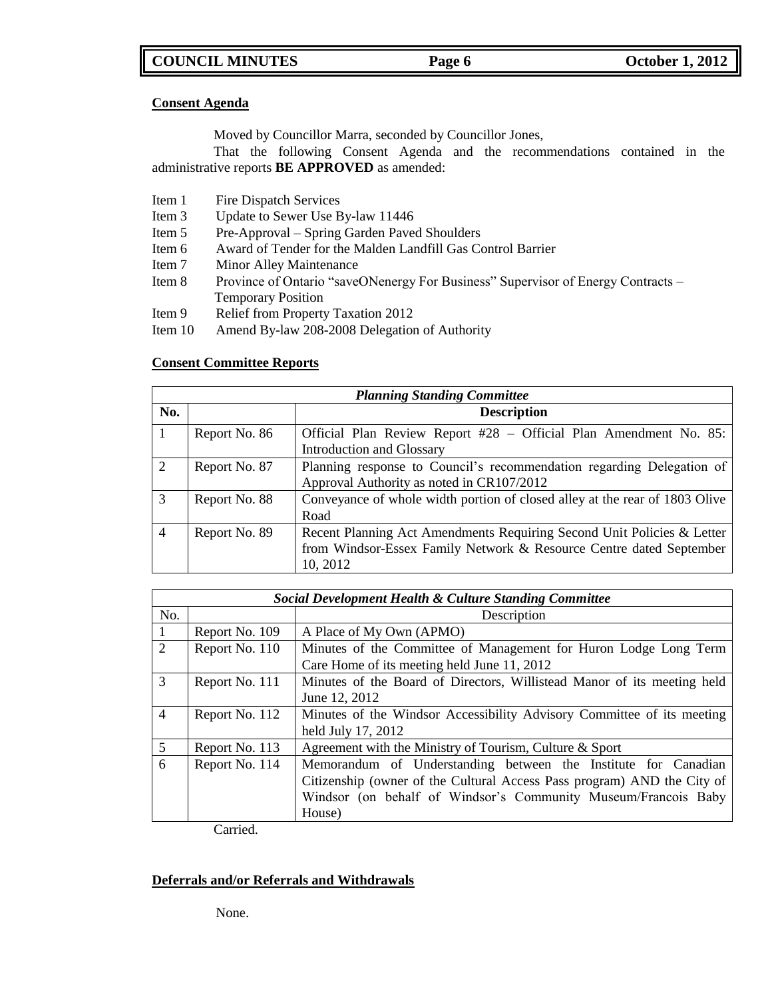### **Consent Agenda**

Moved by Councillor Marra, seconded by Councillor Jones,

That the following Consent Agenda and the recommendations contained in the administrative reports **BE APPROVED** as amended:

- Item 1 Fire Dispatch Services
- Item 3 Update to Sewer Use By-law 11446
- Item 5 Pre-Approval Spring Garden Paved Shoulders
- Item 6 Award of Tender for the Malden Landfill Gas Control Barrier
- Item 7 Minor Alley Maintenance
- Item 8 Province of Ontario "saveONenergy For Business" Supervisor of Energy Contracts Temporary Position
- Item 9 Relief from Property Taxation 2012
- Item 10 Amend By-law 208-2008 Delegation of Authority

### **Consent Committee Reports**

|                | <b>Planning Standing Committee</b> |                                                                                                                                                           |  |
|----------------|------------------------------------|-----------------------------------------------------------------------------------------------------------------------------------------------------------|--|
| No.            |                                    | <b>Description</b>                                                                                                                                        |  |
|                | Report No. 86                      | Official Plan Review Report #28 - Official Plan Amendment No. 85:<br>Introduction and Glossary                                                            |  |
| 2              | Report No. 87                      | Planning response to Council's recommendation regarding Delegation of<br>Approval Authority as noted in CR107/2012                                        |  |
| 3              | Report No. 88                      | Conveyance of whole width portion of closed alley at the rear of 1803 Olive<br>Road                                                                       |  |
| $\overline{4}$ | Report No. 89                      | Recent Planning Act Amendments Requiring Second Unit Policies & Letter<br>from Windsor-Essex Family Network & Resource Centre dated September<br>10, 2012 |  |

|                | Social Development Health & Culture Standing Committee |                                                                                                                                                                                                                       |  |
|----------------|--------------------------------------------------------|-----------------------------------------------------------------------------------------------------------------------------------------------------------------------------------------------------------------------|--|
| No.            |                                                        | Description                                                                                                                                                                                                           |  |
|                | Report No. 109                                         | A Place of My Own (APMO)                                                                                                                                                                                              |  |
| $\mathfrak{D}$ | Report No. 110                                         | Minutes of the Committee of Management for Huron Lodge Long Term<br>Care Home of its meeting held June 11, 2012                                                                                                       |  |
| 3              | Report No. 111                                         | Minutes of the Board of Directors, Willistead Manor of its meeting held<br>June 12, 2012                                                                                                                              |  |
| $\overline{4}$ | Report No. 112                                         | Minutes of the Windsor Accessibility Advisory Committee of its meeting<br>held July 17, 2012                                                                                                                          |  |
| 5              | Report No. 113                                         | Agreement with the Ministry of Tourism, Culture & Sport                                                                                                                                                               |  |
| 6              | Report No. 114                                         | Memorandum of Understanding between the Institute for Canadian<br>Citizenship (owner of the Cultural Access Pass program) AND the City of<br>Windsor (on behalf of Windsor's Community Museum/Francois Baby<br>House) |  |

Carried.

### **Deferrals and/or Referrals and Withdrawals**

None.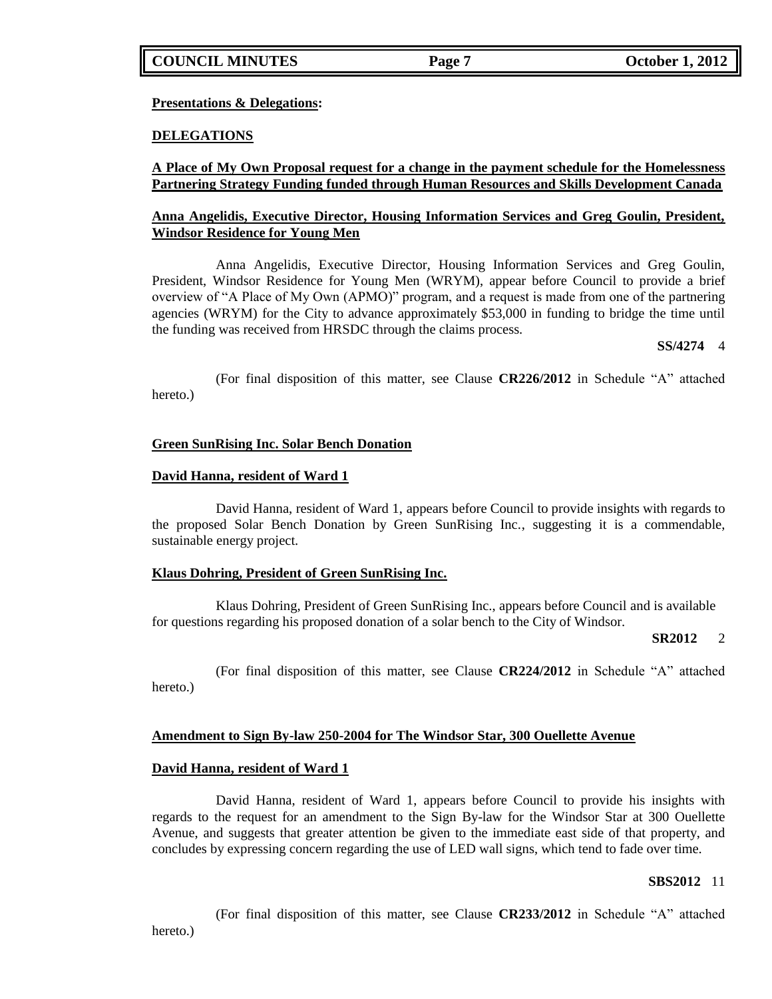**Presentations & Delegations:**

### **DELEGATIONS**

### **A Place of My Own Proposal request for a change in the payment schedule for the Homelessness Partnering Strategy Funding funded through Human Resources and Skills Development Canada**

### **Anna Angelidis, Executive Director, Housing Information Services and Greg Goulin, President, Windsor Residence for Young Men**

Anna Angelidis, Executive Director, Housing Information Services and Greg Goulin, President, Windsor Residence for Young Men (WRYM), appear before Council to provide a brief overview of "A Place of My Own (APMO)" program, and a request is made from one of the partnering agencies (WRYM) for the City to advance approximately \$53,000 in funding to bridge the time until the funding was received from HRSDC through the claims process.

**SS/4274** 4

(For final disposition of this matter, see Clause **CR226/2012** in Schedule "A" attached hereto.)

### **Green SunRising Inc. Solar Bench Donation**

### **David Hanna, resident of Ward 1**

David Hanna, resident of Ward 1, appears before Council to provide insights with regards to the proposed Solar Bench Donation by Green SunRising Inc., suggesting it is a commendable, sustainable energy project.

### **Klaus Dohring, President of Green SunRising Inc.**

Klaus Dohring, President of Green SunRising Inc., appears before Council and is available for questions regarding his proposed donation of a solar bench to the City of Windsor.

### **SR2012** 2

(For final disposition of this matter, see Clause **CR224/2012** in Schedule "A" attached hereto.)

### **Amendment to Sign By-law 250-2004 for The Windsor Star, 300 Ouellette Avenue**

### **David Hanna, resident of Ward 1**

David Hanna, resident of Ward 1, appears before Council to provide his insights with regards to the request for an amendment to the Sign By-law for the Windsor Star at 300 Ouellette Avenue, and suggests that greater attention be given to the immediate east side of that property, and concludes by expressing concern regarding the use of LED wall signs, which tend to fade over time.

### **SBS2012** 11

(For final disposition of this matter, see Clause **CR233/2012** in Schedule "A" attached hereto.)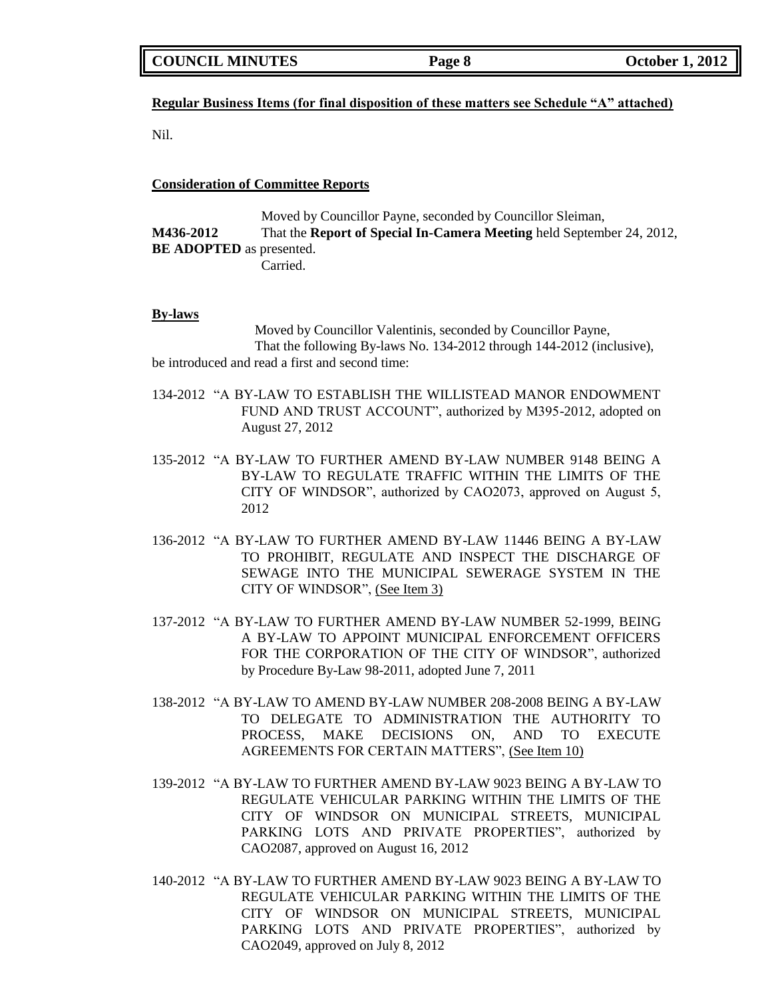| <b>COUNCIL MINUTES</b> | Page 8 | <b>October 1, 2012</b> |
|------------------------|--------|------------------------|
|------------------------|--------|------------------------|

### **Regular Business Items (for final disposition of these matters see Schedule "A" attached)**

Nil.

**Consideration of Committee Reports**

Moved by Councillor Payne, seconded by Councillor Sleiman, **M436-2012** That the **Report of Special In-Camera Meeting** held September 24, 2012, **BE ADOPTED** as presented. Carried.

### **By-laws**

Moved by Councillor Valentinis, seconded by Councillor Payne, That the following By-laws No. 134-2012 through 144-2012 (inclusive), be introduced and read a first and second time:

- 134-2012 "A BY-LAW TO ESTABLISH THE WILLISTEAD MANOR ENDOWMENT FUND AND TRUST ACCOUNT", authorized by M395-2012, adopted on August 27, 2012
- 135-2012 "A BY-LAW TO FURTHER AMEND BY-LAW NUMBER 9148 BEING A BY-LAW TO REGULATE TRAFFIC WITHIN THE LIMITS OF THE CITY OF WINDSOR", authorized by CAO2073, approved on August 5, 2012
- 136-2012 "A BY-LAW TO FURTHER AMEND BY-LAW 11446 BEING A BY-LAW TO PROHIBIT, REGULATE AND INSPECT THE DISCHARGE OF SEWAGE INTO THE MUNICIPAL SEWERAGE SYSTEM IN THE CITY OF WINDSOR", (See Item 3)
- 137-2012 "A BY-LAW TO FURTHER AMEND BY-LAW NUMBER 52-1999, BEING A BY-LAW TO APPOINT MUNICIPAL ENFORCEMENT OFFICERS FOR THE CORPORATION OF THE CITY OF WINDSOR", authorized by Procedure By-Law 98-2011, adopted June 7, 2011
- 138-2012 "A BY-LAW TO AMEND BY-LAW NUMBER 208-2008 BEING A BY-LAW TO DELEGATE TO ADMINISTRATION THE AUTHORITY TO PROCESS, MAKE DECISIONS ON, AND TO EXECUTE AGREEMENTS FOR CERTAIN MATTERS", (See Item 10)
- 139-2012 "A BY-LAW TO FURTHER AMEND BY-LAW 9023 BEING A BY-LAW TO REGULATE VEHICULAR PARKING WITHIN THE LIMITS OF THE CITY OF WINDSOR ON MUNICIPAL STREETS, MUNICIPAL PARKING LOTS AND PRIVATE PROPERTIES", authorized by CAO2087, approved on August 16, 2012
- 140-2012 "A BY-LAW TO FURTHER AMEND BY-LAW 9023 BEING A BY-LAW TO REGULATE VEHICULAR PARKING WITHIN THE LIMITS OF THE CITY OF WINDSOR ON MUNICIPAL STREETS, MUNICIPAL PARKING LOTS AND PRIVATE PROPERTIES", authorized by CAO2049, approved on July 8, 2012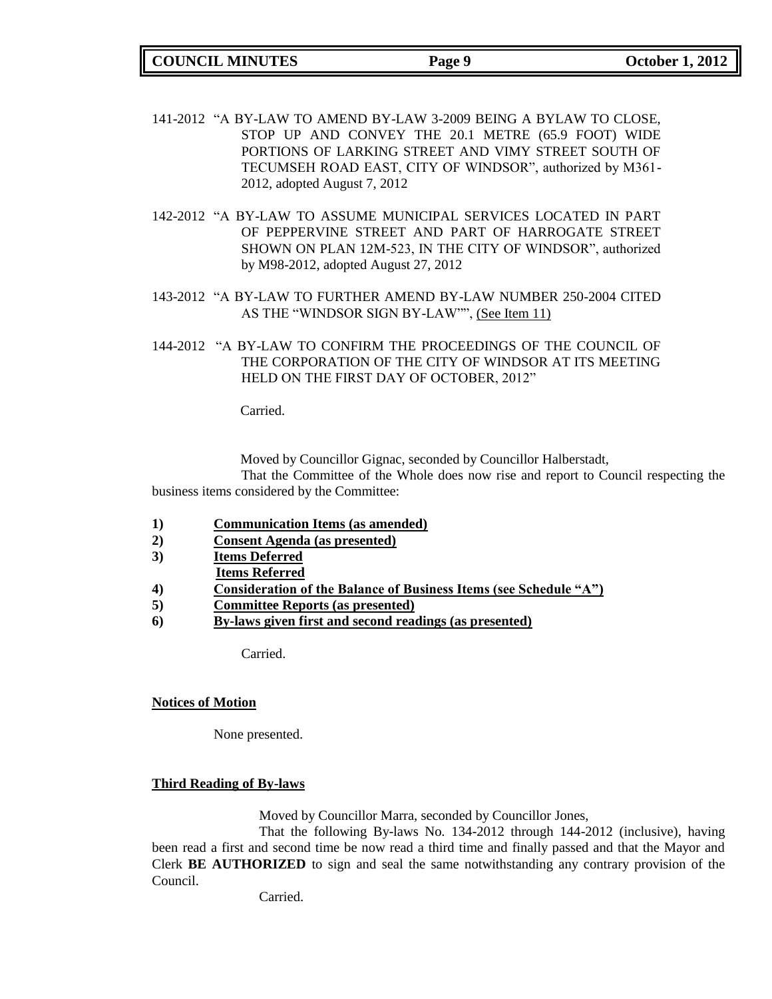**COUNCIL MINUTES Page 9 October 1, 2012**

- 141-2012 "A BY-LAW TO AMEND BY-LAW 3-2009 BEING A BYLAW TO CLOSE, STOP UP AND CONVEY THE 20.1 METRE (65.9 FOOT) WIDE PORTIONS OF LARKING STREET AND VIMY STREET SOUTH OF TECUMSEH ROAD EAST, CITY OF WINDSOR", authorized by M361- 2012, adopted August 7, 2012
- 142-2012 "A BY-LAW TO ASSUME MUNICIPAL SERVICES LOCATED IN PART OF PEPPERVINE STREET AND PART OF HARROGATE STREET SHOWN ON PLAN 12M-523, IN THE CITY OF WINDSOR", authorized by M98-2012, adopted August 27, 2012
- 143-2012 "A BY-LAW TO FURTHER AMEND BY-LAW NUMBER 250-2004 CITED AS THE "WINDSOR SIGN BY-LAW"", (See Item 11)
- 144-2012 "A BY-LAW TO CONFIRM THE PROCEEDINGS OF THE COUNCIL OF THE CORPORATION OF THE CITY OF WINDSOR AT ITS MEETING HELD ON THE FIRST DAY OF OCTOBER, 2012"

Carried.

Moved by Councillor Gignac, seconded by Councillor Halberstadt,

That the Committee of the Whole does now rise and report to Council respecting the business items considered by the Committee:

- **1) Communication Items (as amended)**
- **2) Consent Agenda (as presented)**
- **3) Items Deferred**
- **Items Referred**
- **4) Consideration of the Balance of Business Items (see Schedule "A")**
- **5) Committee Reports (as presented)**
- **6) By-laws given first and second readings (as presented)**

Carried.

### **Notices of Motion**

None presented.

### **Third Reading of By-laws**

Moved by Councillor Marra, seconded by Councillor Jones,

That the following By-laws No. 134-2012 through 144-2012 (inclusive), having been read a first and second time be now read a third time and finally passed and that the Mayor and Clerk **BE AUTHORIZED** to sign and seal the same notwithstanding any contrary provision of the Council.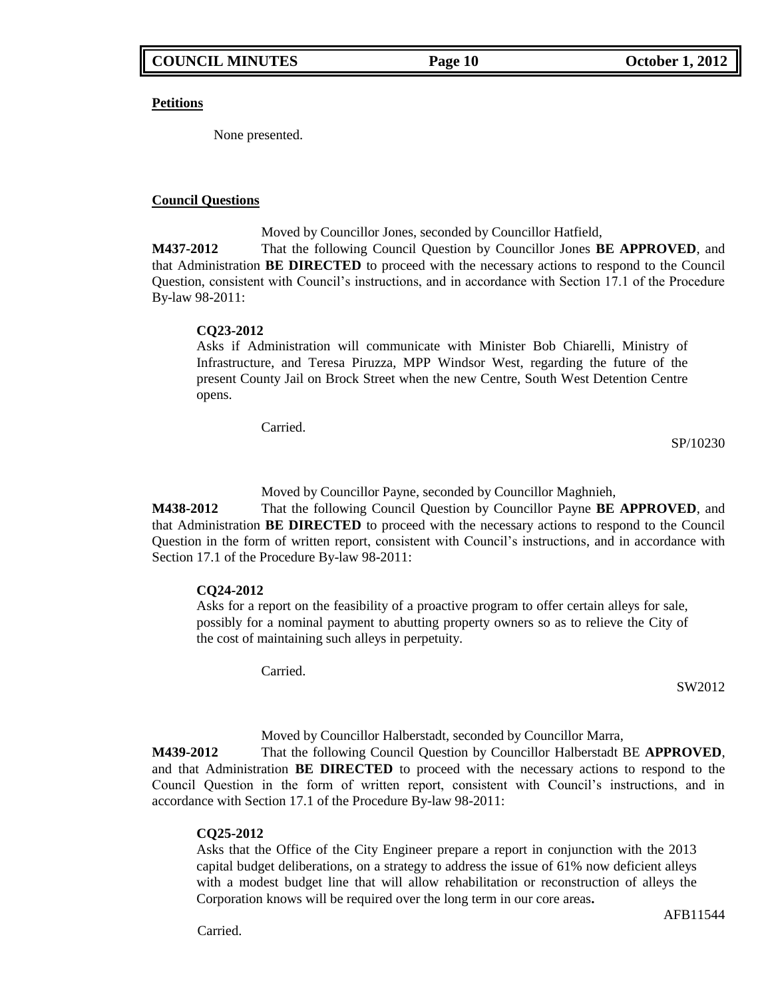**Petitions**

None presented.

### **Council Questions**

Moved by Councillor Jones, seconded by Councillor Hatfield,

**M437-2012** That the following Council Question by Councillor Jones **BE APPROVED**, and that Administration **BE DIRECTED** to proceed with the necessary actions to respond to the Council Question, consistent with Council's instructions, and in accordance with Section 17.1 of the Procedure By-law 98-2011:

### **CQ23-2012**

Asks if Administration will communicate with Minister Bob Chiarelli, Ministry of Infrastructure, and Teresa Piruzza, MPP Windsor West, regarding the future of the present County Jail on Brock Street when the new Centre, South West Detention Centre opens.

Carried.

SP/10230

Moved by Councillor Payne, seconded by Councillor Maghnieh,

**M438-2012** That the following Council Question by Councillor Payne **BE APPROVED**, and that Administration **BE DIRECTED** to proceed with the necessary actions to respond to the Council Question in the form of written report, consistent with Council's instructions, and in accordance with Section 17.1 of the Procedure By-law 98-2011:

## **CQ24-2012**

Asks for a report on the feasibility of a proactive program to offer certain alleys for sale, possibly for a nominal payment to abutting property owners so as to relieve the City of the cost of maintaining such alleys in perpetuity.

Carried.

SW2012

Moved by Councillor Halberstadt, seconded by Councillor Marra,

**M439-2012** That the following Council Question by Councillor Halberstadt BE **APPROVED**, and that Administration **BE DIRECTED** to proceed with the necessary actions to respond to the Council Question in the form of written report, consistent with Council's instructions, and in accordance with Section 17.1 of the Procedure By-law 98-2011:

## **CQ25-2012**

Asks that the Office of the City Engineer prepare a report in conjunction with the 2013 capital budget deliberations, on a strategy to address the issue of 61% now deficient alleys with a modest budget line that will allow rehabilitation or reconstruction of alleys the Corporation knows will be required over the long term in our core areas**.**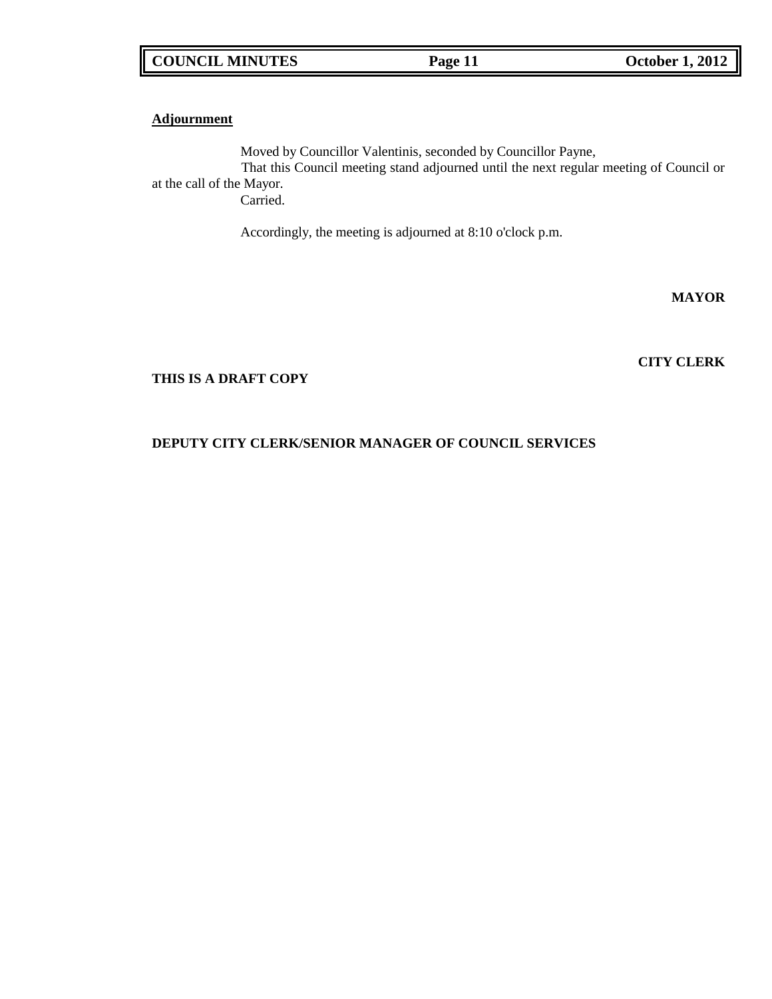### **Adjournment**

Moved by Councillor Valentinis, seconded by Councillor Payne, That this Council meeting stand adjourned until the next regular meeting of Council or at the call of the Mayor. Carried.

Accordingly, the meeting is adjourned at 8:10 o'clock p.m.

**MAYOR**

**CITY CLERK**

## **THIS IS A DRAFT COPY**

# **DEPUTY CITY CLERK/SENIOR MANAGER OF COUNCIL SERVICES**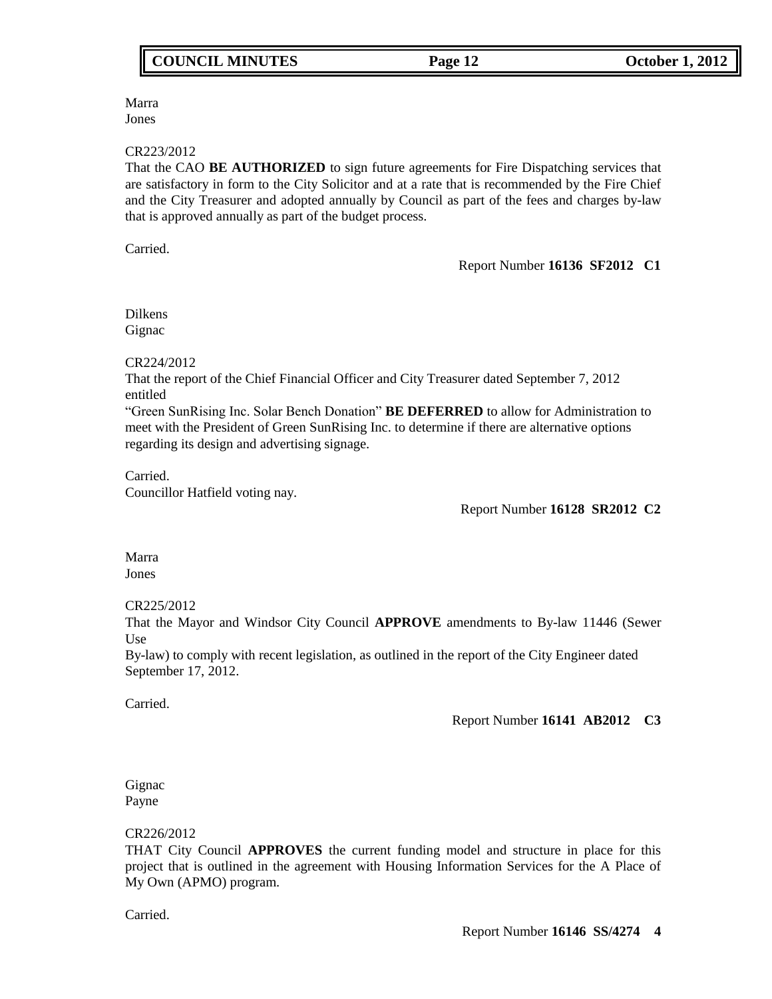# Marra

Jones

### CR223/2012

That the CAO **BE AUTHORIZED** to sign future agreements for Fire Dispatching services that are satisfactory in form to the City Solicitor and at a rate that is recommended by the Fire Chief and the City Treasurer and adopted annually by Council as part of the fees and charges by-law that is approved annually as part of the budget process.

Carried.

### Report Number **16136 SF2012 C1**

Dilkens Gignac

## CR224/2012

That the report of the Chief Financial Officer and City Treasurer dated September 7, 2012 entitled

"Green SunRising Inc. Solar Bench Donation" **BE DEFERRED** to allow for Administration to meet with the President of Green SunRising Inc. to determine if there are alternative options regarding its design and advertising signage.

## Carried.

Councillor Hatfield voting nay.

Report Number **16128 SR2012 C2**

Marra Jones

CR225/2012

That the Mayor and Windsor City Council **APPROVE** amendments to By-law 11446 (Sewer Use

By-law) to comply with recent legislation, as outlined in the report of the City Engineer dated September 17, 2012.

Carried.

Report Number **16141 AB2012 C3**

Gignac Payne

## CR226/2012

THAT City Council **APPROVES** the current funding model and structure in place for this project that is outlined in the agreement with Housing Information Services for the A Place of My Own (APMO) program.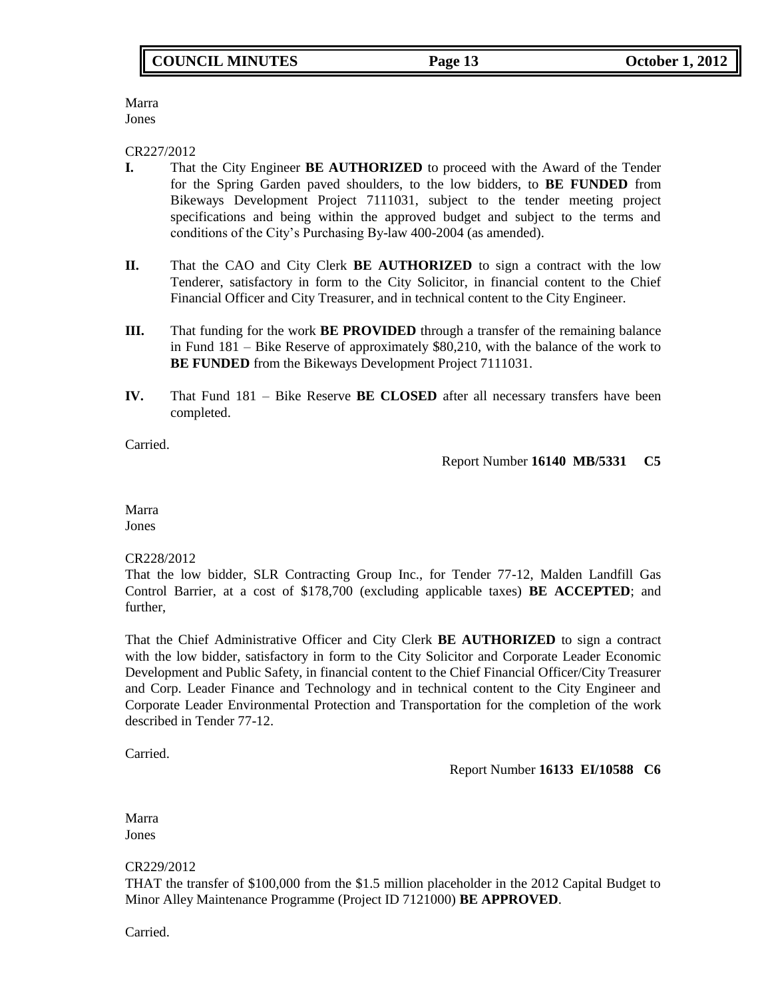Marra Jones

CR227/2012

- **I.** That the City Engineer **BE AUTHORIZED** to proceed with the Award of the Tender for the Spring Garden paved shoulders, to the low bidders, to **BE FUNDED** from Bikeways Development Project 7111031, subject to the tender meeting project specifications and being within the approved budget and subject to the terms and conditions of the City's Purchasing By-law 400-2004 (as amended).
- **II.** That the CAO and City Clerk **BE AUTHORIZED** to sign a contract with the low Tenderer, satisfactory in form to the City Solicitor, in financial content to the Chief Financial Officer and City Treasurer, and in technical content to the City Engineer.
- **III.** That funding for the work **BE PROVIDED** through a transfer of the remaining balance in Fund 181 – Bike Reserve of approximately \$80,210, with the balance of the work to **BE FUNDED** from the Bikeways Development Project 7111031.
- **IV.** That Fund 181 Bike Reserve **BE CLOSED** after all necessary transfers have been completed.

Carried.

Report Number **16140 MB/5331 C5**

Marra Jones

CR228/2012

That the low bidder, SLR Contracting Group Inc., for Tender 77-12, Malden Landfill Gas Control Barrier, at a cost of \$178,700 (excluding applicable taxes) **BE ACCEPTED**; and further,

That the Chief Administrative Officer and City Clerk **BE AUTHORIZED** to sign a contract with the low bidder, satisfactory in form to the City Solicitor and Corporate Leader Economic Development and Public Safety, in financial content to the Chief Financial Officer/City Treasurer and Corp. Leader Finance and Technology and in technical content to the City Engineer and Corporate Leader Environmental Protection and Transportation for the completion of the work described in Tender 77-12.

Carried.

Report Number **16133 EI/10588 C6**

Marra Jones

CR229/2012

THAT the transfer of \$100,000 from the \$1.5 million placeholder in the 2012 Capital Budget to Minor Alley Maintenance Programme (Project ID 7121000) **BE APPROVED**.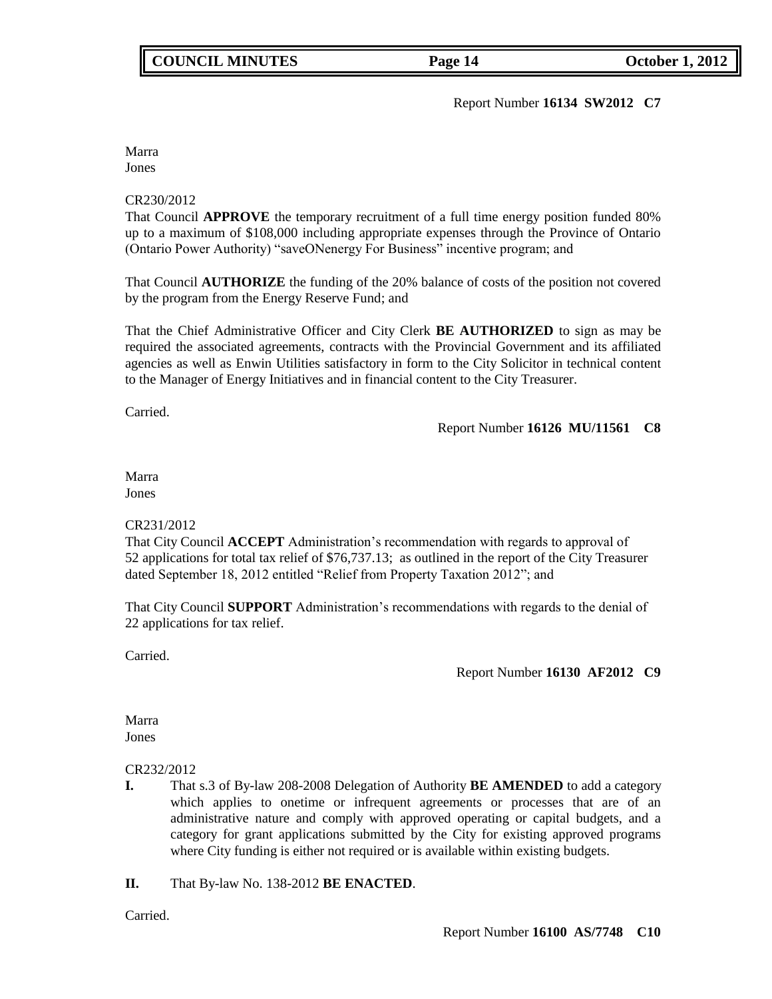Report Number **16134 SW2012 C7**

Marra Jones

### CR230/2012

That Council **APPROVE** the temporary recruitment of a full time energy position funded 80% up to a maximum of \$108,000 including appropriate expenses through the Province of Ontario (Ontario Power Authority) "saveONenergy For Business" incentive program; and

That Council **AUTHORIZE** the funding of the 20% balance of costs of the position not covered by the program from the Energy Reserve Fund; and

That the Chief Administrative Officer and City Clerk **BE AUTHORIZED** to sign as may be required the associated agreements, contracts with the Provincial Government and its affiliated agencies as well as Enwin Utilities satisfactory in form to the City Solicitor in technical content to the Manager of Energy Initiatives and in financial content to the City Treasurer.

Carried.

## Report Number **16126 MU/11561 C8**

### Marra Jones

## CR231/2012

That City Council **ACCEPT** Administration's recommendation with regards to approval of 52 applications for total tax relief of \$76,737.13; as outlined in the report of the City Treasurer dated September 18, 2012 entitled "Relief from Property Taxation 2012"; and

That City Council **SUPPORT** Administration's recommendations with regards to the denial of 22 applications for tax relief.

Carried.

Report Number **16130 AF2012 C9**

Marra Jones

## CR232/2012

- **I.** That s.3 of By-law 208-2008 Delegation of Authority **BE AMENDED** to add a category which applies to onetime or infrequent agreements or processes that are of an administrative nature and comply with approved operating or capital budgets, and a category for grant applications submitted by the City for existing approved programs where City funding is either not required or is available within existing budgets.
- **II.** That By-law No. 138-2012 **BE ENACTED**.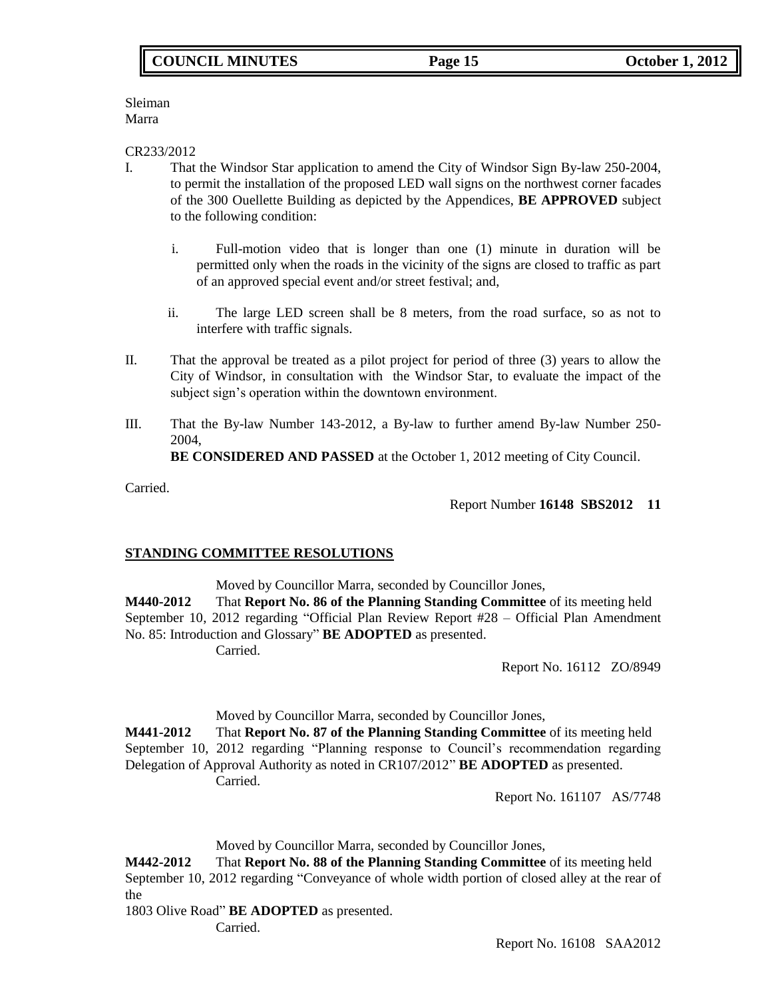Sleiman Marra

CR233/2012

- I. That the Windsor Star application to amend the City of Windsor Sign By-law 250-2004, to permit the installation of the proposed LED wall signs on the northwest corner facades of the 300 Ouellette Building as depicted by the Appendices, **BE APPROVED** subject to the following condition:
	- i. Full-motion video that is longer than one (1) minute in duration will be permitted only when the roads in the vicinity of the signs are closed to traffic as part of an approved special event and/or street festival; and,
	- ii. The large LED screen shall be 8 meters, from the road surface, so as not to interfere with traffic signals.
- II. That the approval be treated as a pilot project for period of three (3) years to allow the City of Windsor, in consultation with the Windsor Star, to evaluate the impact of the subject sign's operation within the downtown environment.
- III. That the By-law Number 143-2012, a By-law to further amend By-law Number 250- 2004,

**BE CONSIDERED AND PASSED** at the October 1, 2012 meeting of City Council.

Carried.

Report Number **16148 SBS2012 11**

## **STANDING COMMITTEE RESOLUTIONS**

Moved by Councillor Marra, seconded by Councillor Jones,

**M440-2012** That **Report No. 86 of the Planning Standing Committee** of its meeting held September 10, 2012 regarding "Official Plan Review Report #28 – Official Plan Amendment No. 85: Introduction and Glossary" **BE ADOPTED** as presented. Carried.

Report No. 16112 ZO/8949

Moved by Councillor Marra, seconded by Councillor Jones,

**M441-2012** That **Report No. 87 of the Planning Standing Committee** of its meeting held September 10, 2012 regarding "Planning response to Council's recommendation regarding Delegation of Approval Authority as noted in CR107/2012" **BE ADOPTED** as presented. Carried.

Report No. 161107 AS/7748

Moved by Councillor Marra, seconded by Councillor Jones,

**M442-2012** That **Report No. 88 of the Planning Standing Committee** of its meeting held September 10, 2012 regarding "Conveyance of whole width portion of closed alley at the rear of the

1803 Olive Road" **BE ADOPTED** as presented.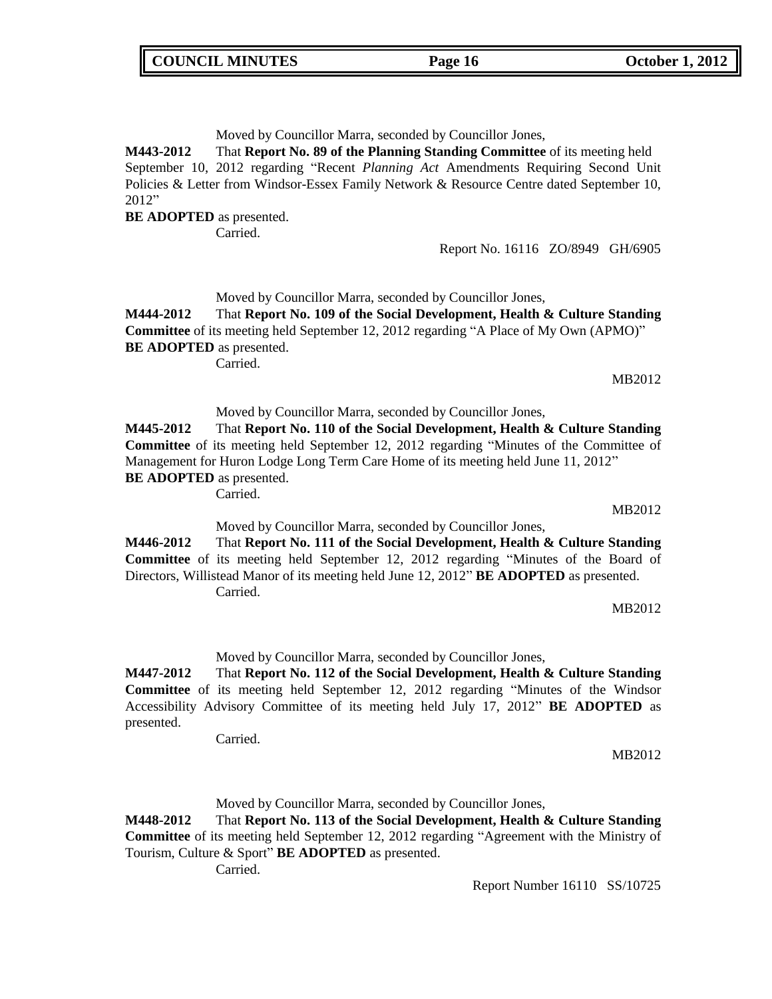Moved by Councillor Marra, seconded by Councillor Jones,

**M443-2012** That **Report No. 89 of the Planning Standing Committee** of its meeting held September 10, 2012 regarding "Recent *Planning Act* Amendments Requiring Second Unit Policies & Letter from Windsor-Essex Family Network & Resource Centre dated September 10, 2012"

**BE ADOPTED** as presented.

Carried.

Report No. 16116 ZO/8949 GH/6905

Moved by Councillor Marra, seconded by Councillor Jones,

**M444-2012** That **Report No. 109 of the Social Development, Health & Culture Standing Committee** of its meeting held September 12, 2012 regarding "A Place of My Own (APMO)" **BE ADOPTED** as presented.

Carried.

MB2012

Moved by Councillor Marra, seconded by Councillor Jones, **M445-2012** That **Report No. 110 of the Social Development, Health & Culture Standing Committee** of its meeting held September 12, 2012 regarding "Minutes of the Committee of Management for Huron Lodge Long Term Care Home of its meeting held June 11, 2012" **BE ADOPTED** as presented.

Carried.

Moved by Councillor Marra, seconded by Councillor Jones,

**M446-2012** That **Report No. 111 of the Social Development, Health & Culture Standing Committee** of its meeting held September 12, 2012 regarding "Minutes of the Board of Directors, Willistead Manor of its meeting held June 12, 2012" **BE ADOPTED** as presented. Carried.

MB2012

MB2012

MB2012

Moved by Councillor Marra, seconded by Councillor Jones,

**M447-2012** That **Report No. 112 of the Social Development, Health & Culture Standing Committee** of its meeting held September 12, 2012 regarding "Minutes of the Windsor Accessibility Advisory Committee of its meeting held July 17, 2012" **BE ADOPTED** as presented.

Carried.

Moved by Councillor Marra, seconded by Councillor Jones,

**M448-2012** That **Report No. 113 of the Social Development, Health & Culture Standing Committee** of its meeting held September 12, 2012 regarding "Agreement with the Ministry of Tourism, Culture & Sport" **BE ADOPTED** as presented.

Carried.

Report Number 16110 SS/10725

**COUNCIL MINUTES Page 16 October 1, 2012**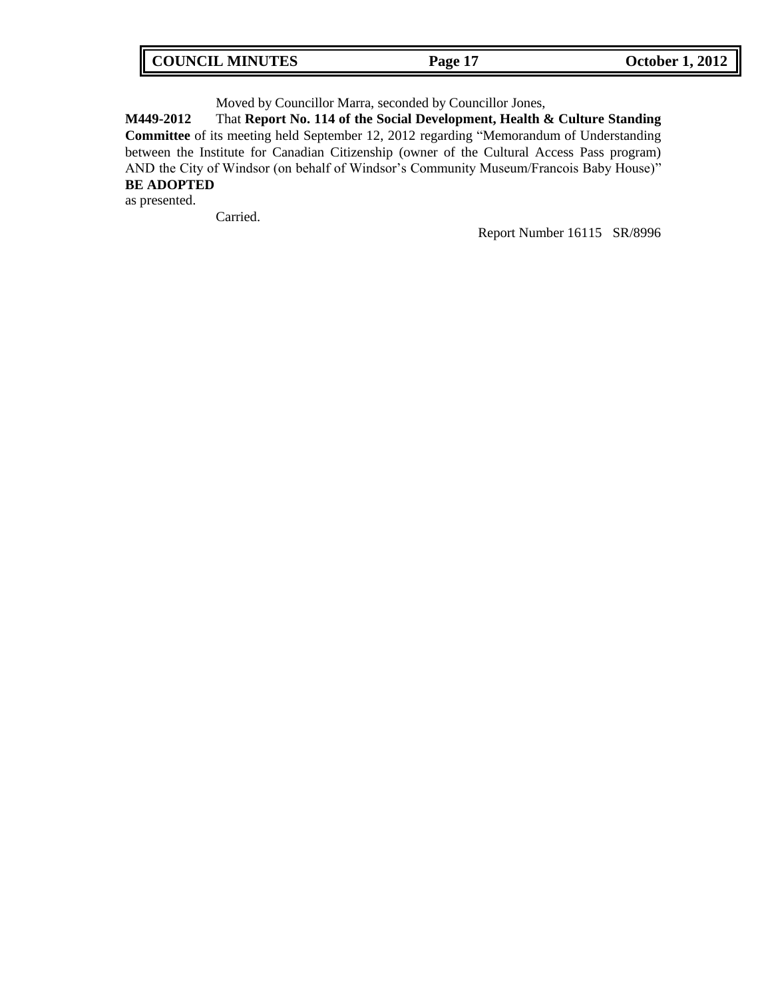| COUNCIL MINUTES<br>Page 17 | <b>October 1, 2012</b> |
|----------------------------|------------------------|
|----------------------------|------------------------|

Moved by Councillor Marra, seconded by Councillor Jones,

**M449-2012** That **Report No. 114 of the Social Development, Health & Culture Standing Committee** of its meeting held September 12, 2012 regarding "Memorandum of Understanding between the Institute for Canadian Citizenship (owner of the Cultural Access Pass program) AND the City of Windsor (on behalf of Windsor's Community Museum/Francois Baby House)" **BE ADOPTED**

as presented.

г

Carried.

Report Number 16115 SR/8996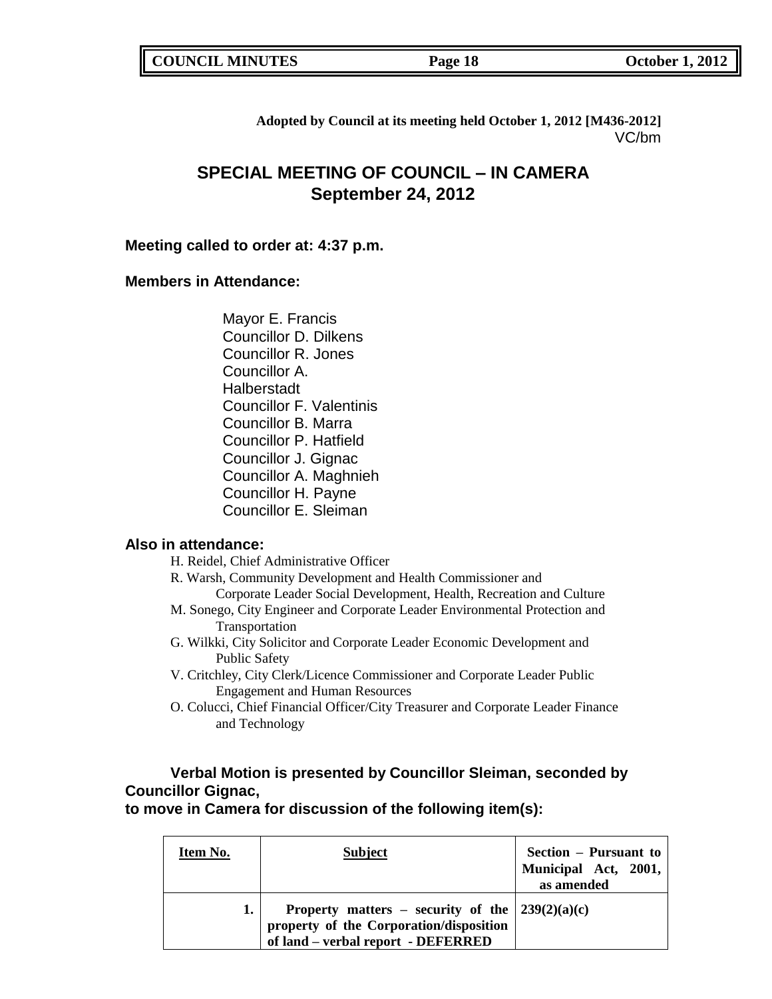| <b>COUNCIL MINUTES</b> |  |
|------------------------|--|
|------------------------|--|

**COUNCIL MINUTES COUNCIL MINUTES COUNCIL 2012** 

**Adopted by Council at its meeting held October 1, 2012 [M436-2012]** VC/bm

# **SPECIAL MEETING OF COUNCIL – IN CAMERA September 24, 2012**

## **Meeting called to order at: 4:37 p.m.**

## **Members in Attendance:**

Mayor E. Francis Councillor D. Dilkens Councillor R. Jones Councillor A. **Halberstadt** Councillor F. Valentinis Councillor B. Marra Councillor P. Hatfield Councillor J. Gignac Councillor A. Maghnieh Councillor H. Payne Councillor E. Sleiman

## **Also in attendance:**

- H. Reidel, Chief Administrative Officer
- R. Warsh, Community Development and Health Commissioner and Corporate Leader Social Development, Health, Recreation and Culture
- M. Sonego, City Engineer and Corporate Leader Environmental Protection and Transportation
- G. Wilkki, City Solicitor and Corporate Leader Economic Development and Public Safety
- V. Critchley, City Clerk/Licence Commissioner and Corporate Leader Public Engagement and Human Resources
- O. Colucci, Chief Financial Officer/City Treasurer and Corporate Leader Finance and Technology

# **Verbal Motion is presented by Councillor Sleiman, seconded by Councillor Gignac,**

**to move in Camera for discussion of the following item(s):**

| Item No. | <b>Subject</b>                                                                                                                               | Section – Pursuant to<br>Municipal Act, 2001,<br>as amended |
|----------|----------------------------------------------------------------------------------------------------------------------------------------------|-------------------------------------------------------------|
|          | Property matters – security of the $\frac{239(2)(a)(c)}{c}$<br>property of the Corporation/disposition<br>of land – verbal report - DEFERRED |                                                             |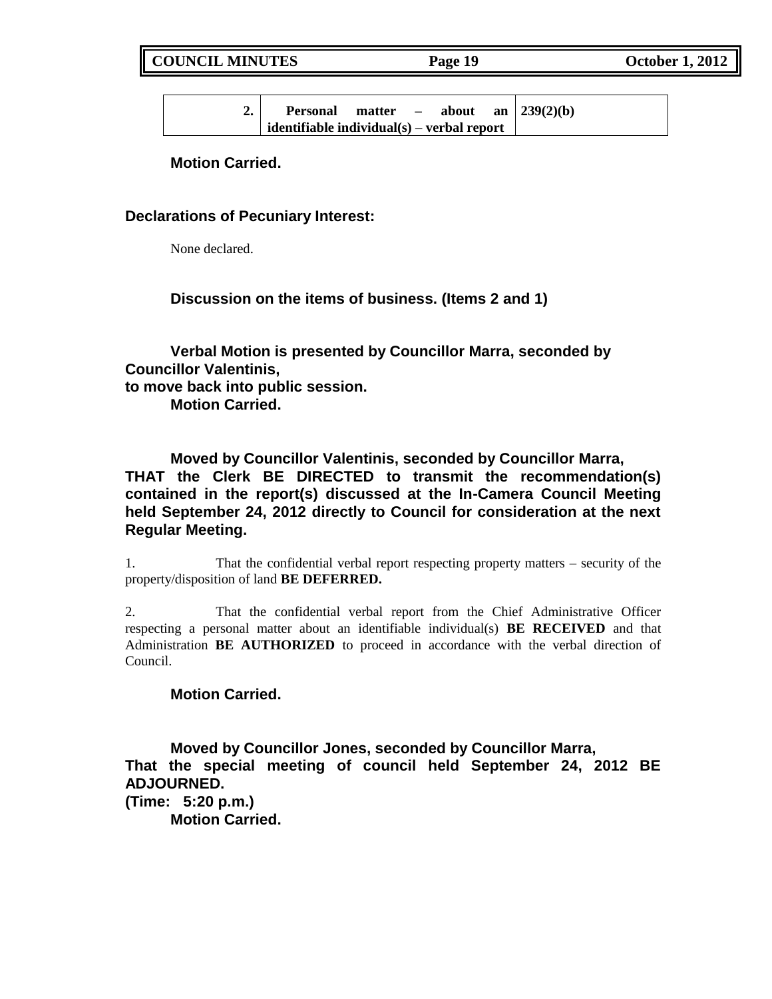**COUNCIL MINUTES Page 19 October 1, 2012**

| " | <b>Personal</b>                                         | matter | $\overline{\phantom{0}}$ | about |  | an   239(2)(b) |
|---|---------------------------------------------------------|--------|--------------------------|-------|--|----------------|
|   | $\mathbf{r}$ identifiable individual(s) – verbal report |        |                          |       |  |                |

**Motion Carried.**

## **Declarations of Pecuniary Interest:**

None declared.

**Discussion on the items of business. (Items 2 and 1)**

**Verbal Motion is presented by Councillor Marra, seconded by Councillor Valentinis, to move back into public session.**

**Motion Carried.**

**Moved by Councillor Valentinis, seconded by Councillor Marra, THAT the Clerk BE DIRECTED to transmit the recommendation(s) contained in the report(s) discussed at the In-Camera Council Meeting held September 24, 2012 directly to Council for consideration at the next Regular Meeting.**

1. That the confidential verbal report respecting property matters – security of the property/disposition of land **BE DEFERRED.**

2. That the confidential verbal report from the Chief Administrative Officer respecting a personal matter about an identifiable individual(s) **BE RECEIVED** and that Administration **BE AUTHORIZED** to proceed in accordance with the verbal direction of Council.

## **Motion Carried.**

**Moved by Councillor Jones, seconded by Councillor Marra, That the special meeting of council held September 24, 2012 BE ADJOURNED.**

**(Time: 5:20 p.m.)**

**Motion Carried.**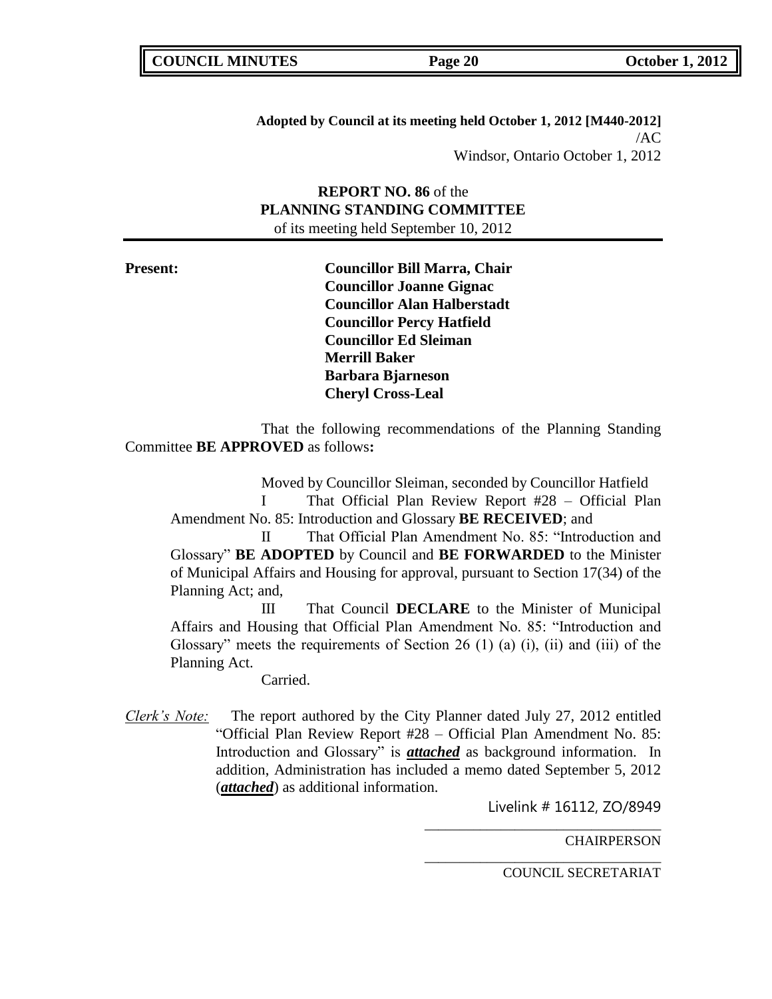**Adopted by Council at its meeting held October 1, 2012 [M440-2012]** /AC Windsor, Ontario October 1, 2012

**REPORT NO. 86** of the **PLANNING STANDING COMMITTEE** of its meeting held September 10, 2012

**Present: Councillor Bill Marra, Chair Councillor Joanne Gignac Councillor Alan Halberstadt Councillor Percy Hatfield Councillor Ed Sleiman Merrill Baker Barbara Bjarneson Cheryl Cross-Leal**

That the following recommendations of the Planning Standing Committee **BE APPROVED** as follows**:** 

Moved by Councillor Sleiman, seconded by Councillor Hatfield I That Official Plan Review Report #28 – Official Plan Amendment No. 85: Introduction and Glossary **BE RECEIVED**; and

II That Official Plan Amendment No. 85: "Introduction and Glossary" **BE ADOPTED** by Council and **BE FORWARDED** to the Minister of Municipal Affairs and Housing for approval, pursuant to Section 17(34) of the Planning Act; and,

III That Council **DECLARE** to the Minister of Municipal Affairs and Housing that Official Plan Amendment No. 85: "Introduction and Glossary" meets the requirements of Section 26 (1) (a) (i), (ii) and (iii) of the Planning Act.

Carried.

*Clerk's Note:* The report authored by the City Planner dated July 27, 2012 entitled "Official Plan Review Report #28 – Official Plan Amendment No. 85: Introduction and Glossary" is *attached* as background information. In addition, Administration has included a memo dated September 5, 2012 (*attached*) as additional information.

Livelink # 16112, ZO/8949

\_\_\_\_\_\_\_\_\_\_\_\_\_\_\_\_\_\_\_\_\_\_\_\_\_\_\_\_\_\_\_\_\_\_

\_\_\_\_\_\_\_\_\_\_\_\_\_\_\_\_\_\_\_\_\_\_\_\_\_\_\_\_\_\_\_\_\_\_

**CHAIRPERSON**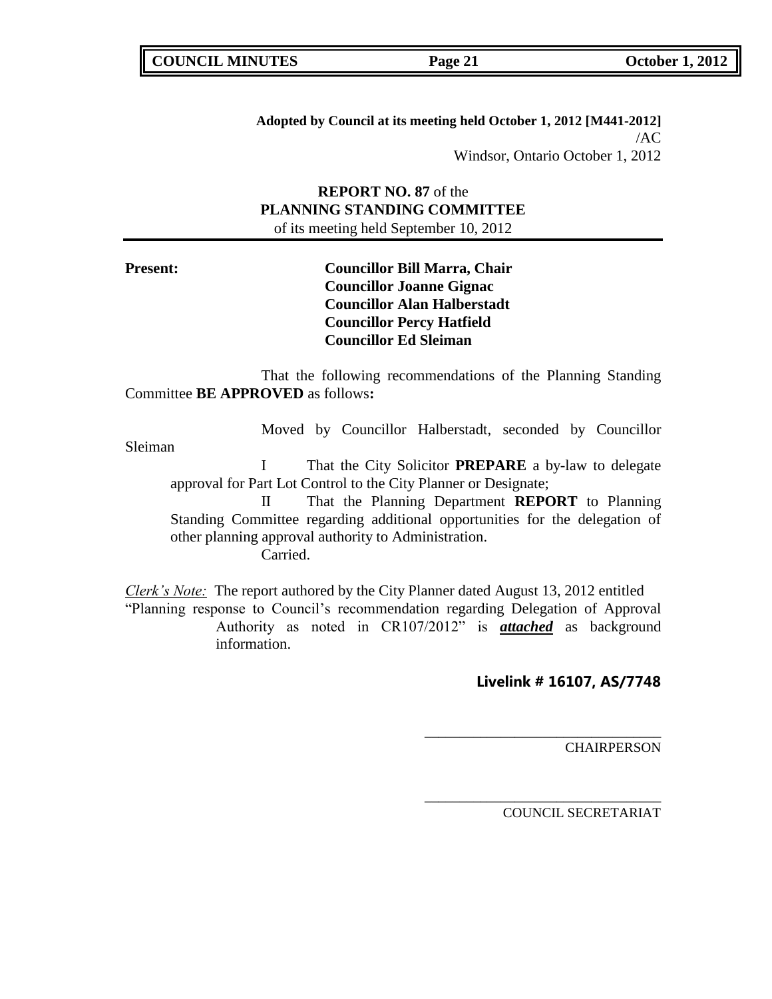**Adopted by Council at its meeting held October 1, 2012 [M441-2012]** /AC Windsor, Ontario October 1, 2012

**REPORT NO. 87** of the **PLANNING STANDING COMMITTEE** of its meeting held September 10, 2012

**Present: Councillor Bill Marra, Chair Councillor Joanne Gignac Councillor Alan Halberstadt Councillor Percy Hatfield Councillor Ed Sleiman**

That the following recommendations of the Planning Standing Committee **BE APPROVED** as follows**:** 

Moved by Councillor Halberstadt, seconded by Councillor

Sleiman

I That the City Solicitor **PREPARE** a by-law to delegate approval for Part Lot Control to the City Planner or Designate;

II That the Planning Department **REPORT** to Planning Standing Committee regarding additional opportunities for the delegation of other planning approval authority to Administration. Carried.

*Clerk's Note:* The report authored by the City Planner dated August 13, 2012 entitled "Planning response to Council's recommendation regarding Delegation of Approval Authority as noted in CR107/2012" is *attached* as background information.

### **Livelink # 16107, AS/7748**

\_\_\_\_\_\_\_\_\_\_\_\_\_\_\_\_\_\_\_\_\_\_\_\_\_\_\_\_\_\_\_\_\_\_

\_\_\_\_\_\_\_\_\_\_\_\_\_\_\_\_\_\_\_\_\_\_\_\_\_\_\_\_\_\_\_\_\_\_

**CHAIRPERSON**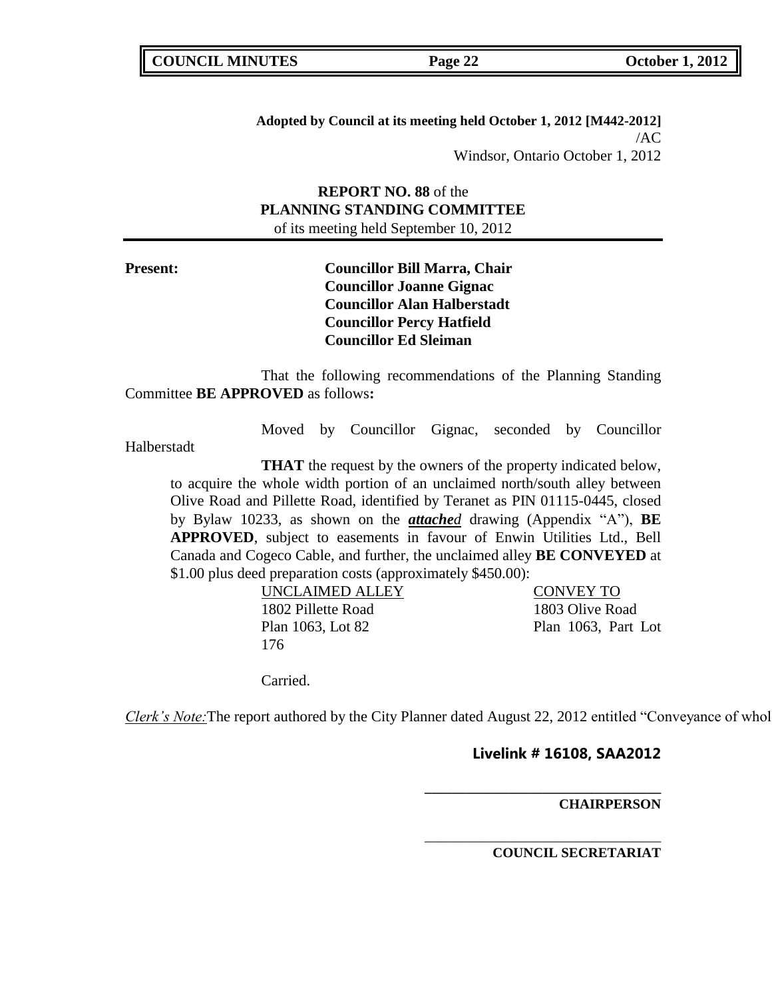**Adopted by Council at its meeting held October 1, 2012 [M442-2012]** /AC Windsor, Ontario October 1, 2012

## **REPORT NO. 88** of the **PLANNING STANDING COMMITTEE** of its meeting held September 10, 2012

**Present: Councillor Bill Marra, Chair Councillor Joanne Gignac Councillor Alan Halberstadt Councillor Percy Hatfield Councillor Ed Sleiman**

That the following recommendations of the Planning Standing Committee **BE APPROVED** as follows**:** 

Moved by Councillor Gignac, seconded by Councillor

Halberstadt

**THAT** the request by the owners of the property indicated below, to acquire the whole width portion of an unclaimed north/south alley between Olive Road and Pillette Road, identified by Teranet as PIN 01115-0445, closed by Bylaw 10233, as shown on the *attached* drawing (Appendix "A"), **BE APPROVED**, subject to easements in favour of Enwin Utilities Ltd., Bell Canada and Cogeco Cable, and further, the unclaimed alley **BE CONVEYED** at \$1.00 plus deed preparation costs (approximately \$450.00):

> UNCLAIMED ALLEY CONVEY TO 1802 Pillette Road 1803 Olive Road Plan 1063, Lot 82 Plan 1063, Part Lot 176

Carried.

*Clerk's Note:* The report authored by the City Planner dated August 22, 2012 entitled "Conveyance of whol

## **Livelink # 16108, SAA2012**

**\_\_\_\_\_\_\_\_\_\_\_\_\_\_\_\_\_\_\_\_\_\_\_\_\_\_\_\_\_\_\_\_\_\_**

\_\_\_\_\_\_\_\_\_\_\_\_\_\_\_\_\_\_\_\_\_\_\_\_\_\_\_\_\_\_\_\_\_\_

### **CHAIRPERSON**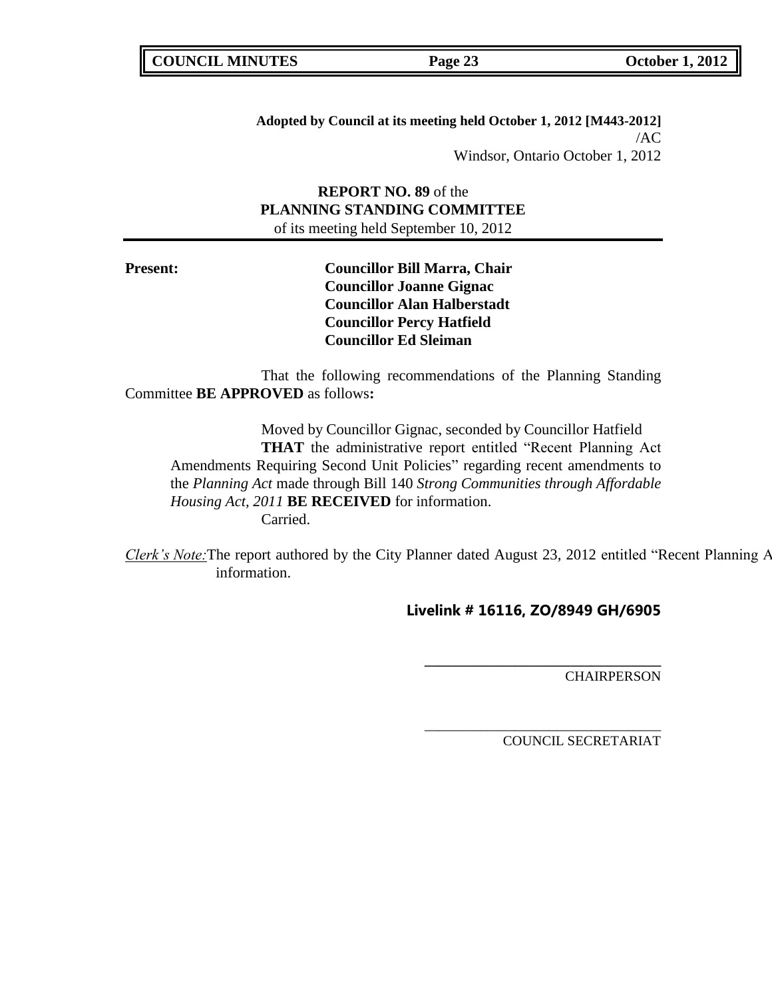**Adopted by Council at its meeting held October 1, 2012 [M443-2012]** /AC Windsor, Ontario October 1, 2012

**REPORT NO. 89** of the **PLANNING STANDING COMMITTEE** of its meeting held September 10, 2012

**Present: Councillor Bill Marra, Chair Councillor Joanne Gignac Councillor Alan Halberstadt Councillor Percy Hatfield Councillor Ed Sleiman**

That the following recommendations of the Planning Standing Committee **BE APPROVED** as follows**:** 

Moved by Councillor Gignac, seconded by Councillor Hatfield **THAT** the administrative report entitled "Recent Planning Act Amendments Requiring Second Unit Policies" regarding recent amendments to the *Planning Act* made through Bill 140 *Strong Communities through Affordable Housing Act, 2011* **BE RECEIVED** for information. Carried.

Clerk's Note: The report authored by the City Planner dated August 23, 2012 entitled "Recent Planning A information.

# **Livelink # 16116, ZO/8949 GH/6905**

\_\_\_\_\_\_\_\_\_\_\_\_\_\_\_\_\_\_\_\_\_\_\_\_\_\_\_\_\_\_\_\_\_\_

**\_\_\_\_\_\_\_\_\_\_\_\_\_\_\_\_\_\_\_\_\_\_\_\_\_\_\_\_\_\_\_\_\_\_ CHAIRPERSON**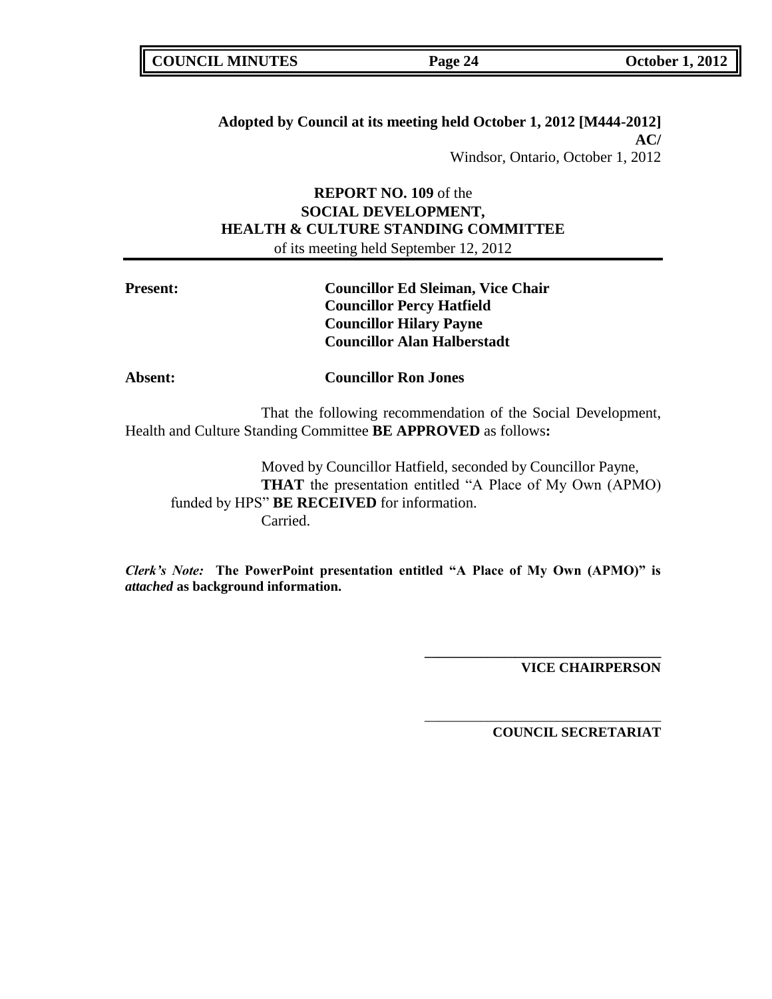|  | <b>COUNCIL MINUTES</b> |
|--|------------------------|
|--|------------------------|

# **Adopted by Council at its meeting held October 1, 2012 [M444-2012] AC/**

Windsor, Ontario, October 1, 2012

# **REPORT NO. 109** of the **SOCIAL DEVELOPMENT, HEALTH & CULTURE STANDING COMMITTEE** of its meeting held September 12, 2012

| <b>Present:</b> | <b>Councillor Ed Sleiman, Vice Chair</b> |
|-----------------|------------------------------------------|
|                 | <b>Councillor Percy Hatfield</b>         |
|                 | <b>Councillor Hilary Payne</b>           |
|                 | <b>Councillor Alan Halberstadt</b>       |
| Absent:         | <b>Councillor Ron Jones</b>              |

That the following recommendation of the Social Development, Health and Culture Standing Committee **BE APPROVED** as follows**:** 

Moved by Councillor Hatfield, seconded by Councillor Payne, **THAT** the presentation entitled "A Place of My Own (APMO) funded by HPS" **BE RECEIVED** for information. Carried.

*Clerk's Note:* **The PowerPoint presentation entitled "A Place of My Own (APMO)" is**  *attached* **as background information.**

**VICE CHAIRPERSON**

**COUNCIL SECRETARIAT**

**\_\_\_\_\_\_\_\_\_\_\_\_\_\_\_\_\_\_\_\_\_\_\_\_\_\_\_\_\_\_\_\_\_\_**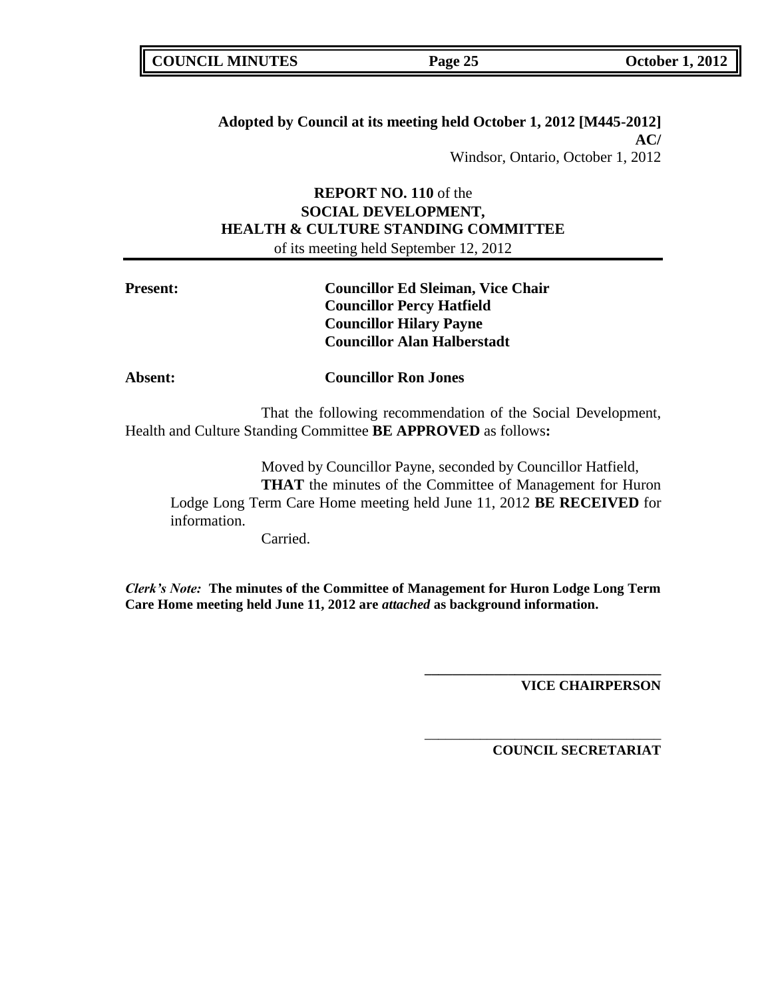# **Adopted by Council at its meeting held October 1, 2012 [M445-2012] AC/**

Windsor, Ontario, October 1, 2012

# **REPORT NO. 110** of the **SOCIAL DEVELOPMENT, HEALTH & CULTURE STANDING COMMITTEE** of its meeting held September 12, 2012

| <b>Present:</b> | <b>Councillor Ed Sleiman, Vice Chair</b><br><b>Councillor Percy Hatfield</b><br><b>Councillor Hilary Payne</b><br><b>Councillor Alan Halberstadt</b>                                                    |  |
|-----------------|---------------------------------------------------------------------------------------------------------------------------------------------------------------------------------------------------------|--|
| <b>Absent:</b>  | <b>Councillor Ron Jones</b>                                                                                                                                                                             |  |
|                 | That the following recommendation of the Social Development,<br>Health and Culture Standing Committee <b>BE APPROVED</b> as follows:                                                                    |  |
| information.    | Moved by Councillor Payne, seconded by Councillor Hatfield,<br><b>THAT</b> the minutes of the Committee of Management for Huron<br>Lodge Long Term Care Home meeting held June 11, 2012 BE RECEIVED for |  |

Carried.

*Clerk's Note:* **The minutes of the Committee of Management for Huron Lodge Long Term Care Home meeting held June 11, 2012 are** *attached* **as background information.**

**VICE CHAIRPERSON**

**COUNCIL SECRETARIAT**

**\_\_\_\_\_\_\_\_\_\_\_\_\_\_\_\_\_\_\_\_\_\_\_\_\_\_\_\_\_\_\_\_\_\_**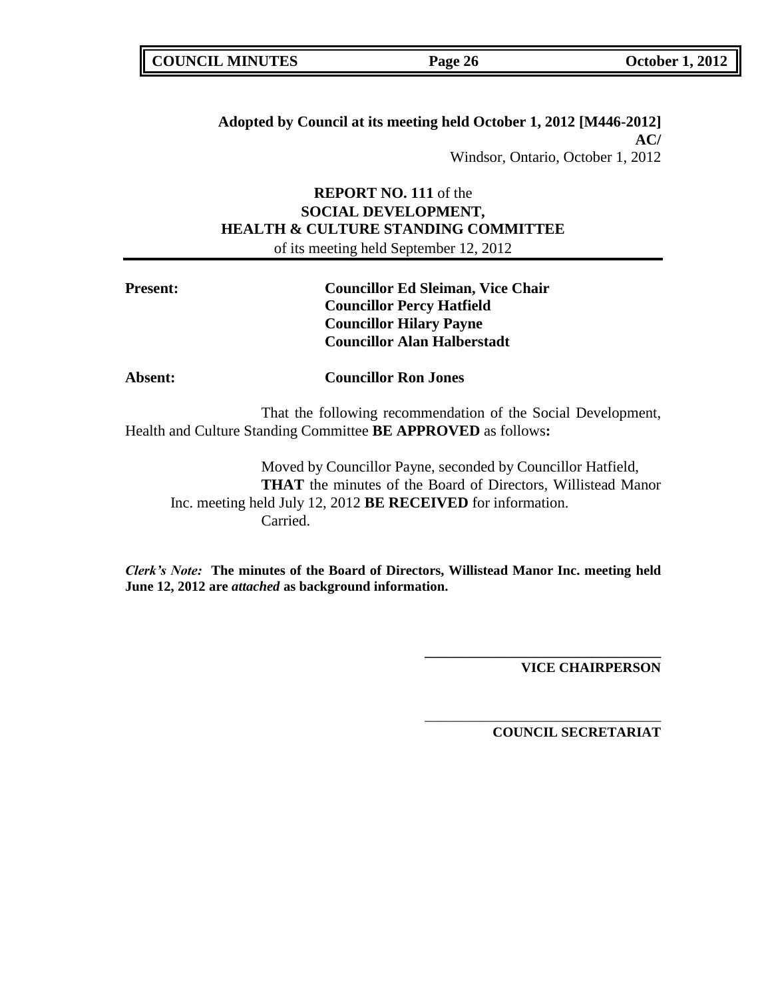| <b>COUNCIL MINUTES</b> |  |
|------------------------|--|
|------------------------|--|

# **Adopted by Council at its meeting held October 1, 2012 [M446-2012] AC/**

Windsor, Ontario, October 1, 2012

# **REPORT NO. 111** of the **SOCIAL DEVELOPMENT, HEALTH & CULTURE STANDING COMMITTEE** of its meeting held September 12, 2012

| <b>Present:</b> | <b>Councillor Ed Sleiman, Vice Chair</b><br><b>Councillor Percy Hatfield</b><br><b>Councillor Hilary Payne</b><br><b>Councillor Alan Halberstadt</b> |
|-----------------|------------------------------------------------------------------------------------------------------------------------------------------------------|
| <b>Absent:</b>  | <b>Councillor Ron Jones</b>                                                                                                                          |
|                 | That the following recommendation of the Social Development,<br>Health and Culture Standing Committee <b>BE APPROVED</b> as follows:                 |
|                 | Moved by Councillor Payne, seconded by Councillor Hatfield,<br><b>THAT</b> the minutes of the Board of Directors, Willistead Manor                   |
|                 | Inc. meeting held July 12, 2012 <b>BE RECEIVED</b> for information.                                                                                  |

Carried.

*Clerk's Note:* **The minutes of the Board of Directors, Willistead Manor Inc. meeting held June 12, 2012 are** *attached* **as background information.**

**VICE CHAIRPERSON**

**COUNCIL SECRETARIAT**

**\_\_\_\_\_\_\_\_\_\_\_\_\_\_\_\_\_\_\_\_\_\_\_\_\_\_\_\_\_\_\_\_\_\_**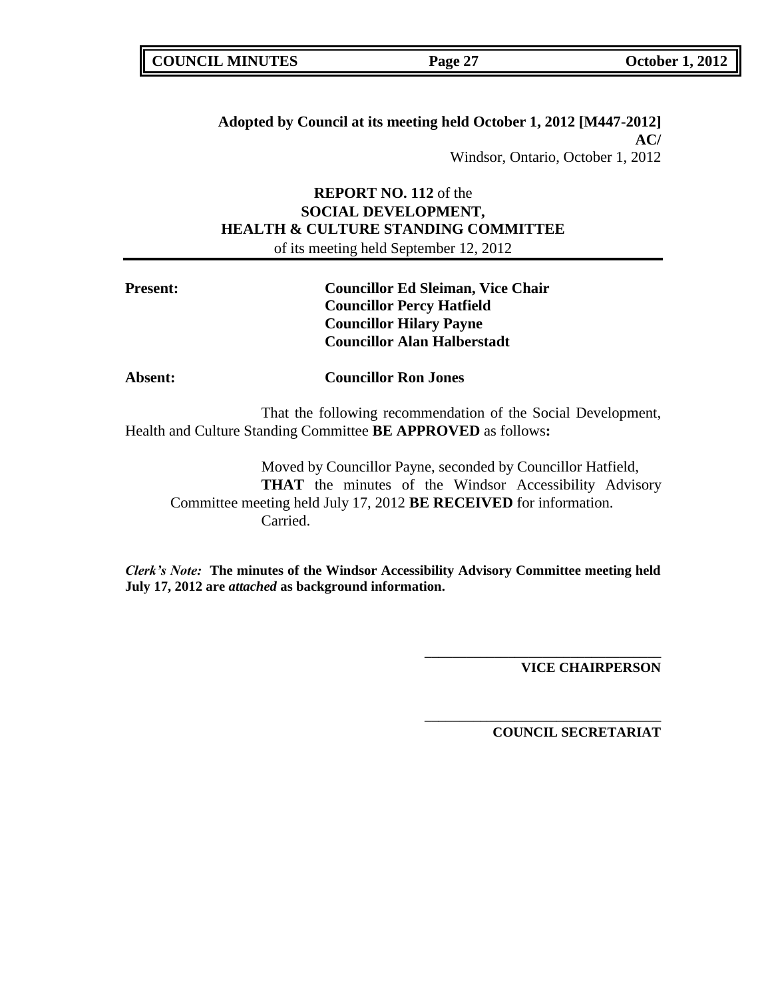# **Adopted by Council at its meeting held October 1, 2012 [M447-2012] AC/**

Windsor, Ontario, October 1, 2012

# **REPORT NO. 112** of the **SOCIAL DEVELOPMENT, HEALTH & CULTURE STANDING COMMITTEE** of its meeting held September 12, 2012

| <b>Present:</b> | <b>Councillor Ed Sleiman, Vice Chair</b><br><b>Councillor Percy Hatfield</b><br><b>Councillor Hilary Payne</b><br><b>Councillor Alan Halberstadt</b>                                                                 |
|-----------------|----------------------------------------------------------------------------------------------------------------------------------------------------------------------------------------------------------------------|
| <b>Absent:</b>  | <b>Councillor Ron Jones</b>                                                                                                                                                                                          |
|                 | That the following recommendation of the Social Development,<br>Health and Culture Standing Committee <b>BE APPROVED</b> as follows:                                                                                 |
|                 | Moved by Councillor Payne, seconded by Councillor Hatfield,<br><b>THAT</b> the minutes of the Windsor Accessibility Advisory<br>Committee meeting held July 17, 2012 <b>BE RECEIVED</b> for information.<br>Carried. |

*Clerk's Note:* **The minutes of the Windsor Accessibility Advisory Committee meeting held July 17, 2012 are** *attached* **as background information.**

**VICE CHAIRPERSON**

**COUNCIL SECRETARIAT**

**\_\_\_\_\_\_\_\_\_\_\_\_\_\_\_\_\_\_\_\_\_\_\_\_\_\_\_\_\_\_\_\_\_\_**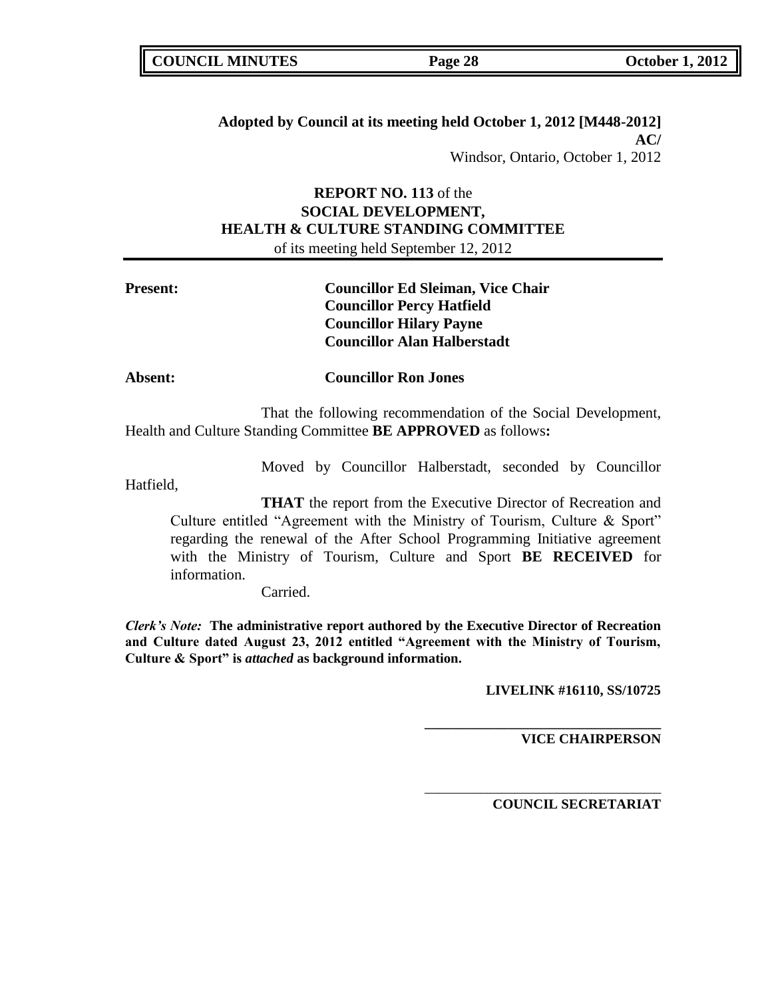|  | <b>COUNCIL MINUTES</b> |
|--|------------------------|
|--|------------------------|

# **Adopted by Council at its meeting held October 1, 2012 [M448-2012] AC/**

Windsor, Ontario, October 1, 2012

# **REPORT NO. 113** of the **SOCIAL DEVELOPMENT, HEALTH & CULTURE STANDING COMMITTEE** of its meeting held September 12, 2012

| <b>Present:</b> | <b>Councillor Ed Sleiman, Vice Chair</b><br><b>Councillor Percy Hatfield</b><br><b>Councillor Hilary Payne</b><br><b>Councillor Alan Halberstadt</b>                                                                                                                                                       |  |  |  |
|-----------------|------------------------------------------------------------------------------------------------------------------------------------------------------------------------------------------------------------------------------------------------------------------------------------------------------------|--|--|--|
| Absent:         | <b>Councillor Ron Jones</b>                                                                                                                                                                                                                                                                                |  |  |  |
|                 | That the following recommendation of the Social Development,<br>Health and Culture Standing Committee <b>BE APPROVED</b> as follows:                                                                                                                                                                       |  |  |  |
| Hatfield,       | Moved by Councillor Halberstadt, seconded by Councillor                                                                                                                                                                                                                                                    |  |  |  |
|                 | <b>THAT</b> the report from the Executive Director of Recreation and<br>Culture entitled "Agreement with the Ministry of Tourism, Culture & Sport"<br>regarding the renewal of the After School Programming Initiative agreement<br>with the Ministry of Tourism, Culture and Sport <b>BE RECEIVED</b> for |  |  |  |

Carried.

information.

*Clerk's Note:* **The administrative report authored by the Executive Director of Recreation and Culture dated August 23, 2012 entitled "Agreement with the Ministry of Tourism, Culture & Sport" is** *attached* **as background information.**

**LIVELINK #16110, SS/10725**

**\_\_\_\_\_\_\_\_\_\_\_\_\_\_\_\_\_\_\_\_\_\_\_\_\_\_\_\_\_\_\_\_\_\_**

\_\_\_\_\_\_\_\_\_\_\_\_\_\_\_\_\_\_\_\_\_\_\_\_\_\_\_\_\_\_\_\_\_\_

**VICE CHAIRPERSON**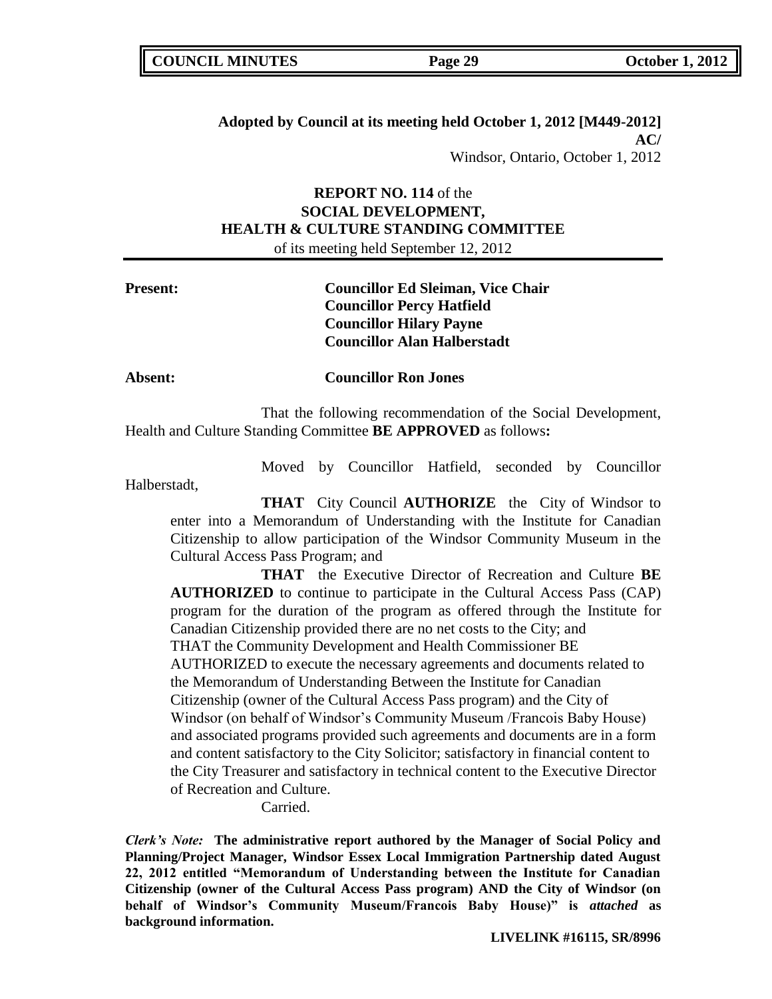# **Adopted by Council at its meeting held October 1, 2012 [M449-2012] AC/**

Windsor, Ontario, October 1, 2012

# **REPORT NO. 114** of the **SOCIAL DEVELOPMENT, HEALTH & CULTURE STANDING COMMITTEE** of its meeting held September 12, 2012

| <b>Present:</b> | <b>Councillor Ed Sleiman, Vice Chair</b><br><b>Councillor Percy Hatfield</b> |
|-----------------|------------------------------------------------------------------------------|
|                 | <b>Councillor Hilary Payne</b><br><b>Councillor Alan Halberstadt</b>         |
| Absent:         | <b>Councillor Ron Jones</b>                                                  |

That the following recommendation of the Social Development, Health and Culture Standing Committee **BE APPROVED** as follows**:** 

Moved by Councillor Hatfield, seconded by Councillor

Halberstadt,

**THAT** City Council **AUTHORIZE** the City of Windsor to enter into a Memorandum of Understanding with the Institute for Canadian Citizenship to allow participation of the Windsor Community Museum in the Cultural Access Pass Program; and

**THAT** the Executive Director of Recreation and Culture **BE AUTHORIZED** to continue to participate in the Cultural Access Pass (CAP) program for the duration of the program as offered through the Institute for Canadian Citizenship provided there are no net costs to the City; and THAT the Community Development and Health Commissioner BE AUTHORIZED to execute the necessary agreements and documents related to the Memorandum of Understanding Between the Institute for Canadian Citizenship (owner of the Cultural Access Pass program) and the City of Windsor (on behalf of Windsor's Community Museum /Francois Baby House) and associated programs provided such agreements and documents are in a form and content satisfactory to the City Solicitor; satisfactory in financial content to the City Treasurer and satisfactory in technical content to the Executive Director of Recreation and Culture.

Carried.

*Clerk's Note:* **The administrative report authored by the Manager of Social Policy and Planning/Project Manager, Windsor Essex Local Immigration Partnership dated August 22, 2012 entitled "Memorandum of Understanding between the Institute for Canadian Citizenship (owner of the Cultural Access Pass program) AND the City of Windsor (on behalf of Windsor's Community Museum/Francois Baby House)" is** *attached* **as background information.**